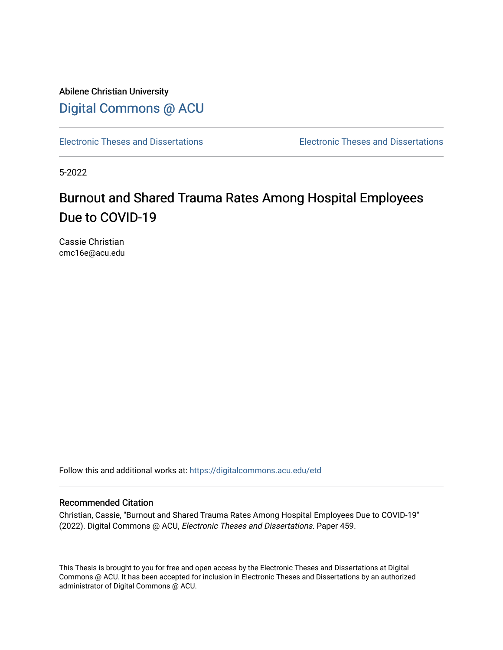Abilene Christian University [Digital Commons @ ACU](https://digitalcommons.acu.edu/)

[Electronic Theses and Dissertations](https://digitalcommons.acu.edu/etd) [Electronic Theses and Dissertations](https://digitalcommons.acu.edu/graduate_works) 

5-2022

# Burnout and Shared Trauma Rates Among Hospital Employees Due to COVID-19

Cassie Christian cmc16e@acu.edu

Follow this and additional works at: [https://digitalcommons.acu.edu/etd](https://digitalcommons.acu.edu/etd?utm_source=digitalcommons.acu.edu%2Fetd%2F459&utm_medium=PDF&utm_campaign=PDFCoverPages) 

## Recommended Citation

Christian, Cassie, "Burnout and Shared Trauma Rates Among Hospital Employees Due to COVID-19" (2022). Digital Commons @ ACU, Electronic Theses and Dissertations. Paper 459.

This Thesis is brought to you for free and open access by the Electronic Theses and Dissertations at Digital Commons @ ACU. It has been accepted for inclusion in Electronic Theses and Dissertations by an authorized administrator of Digital Commons @ ACU.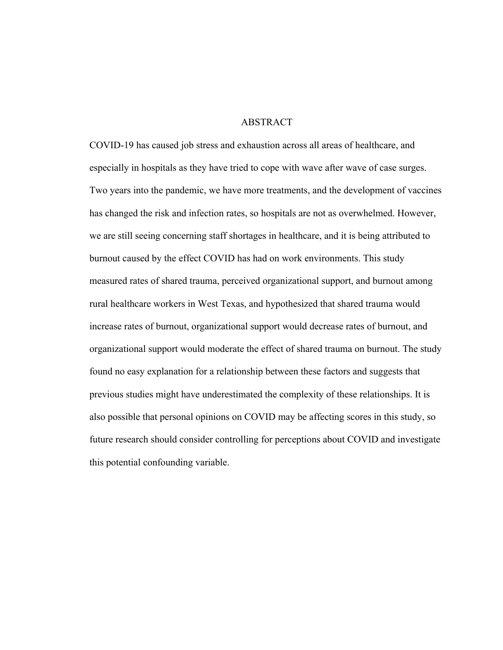# ABSTRACT

COVID-19 has caused job stress and exhaustion across all areas of healthcare, and especially in hospitals as they have tried to cope with wave after wave of case surges. Two years into the pandemic, we have more treatments, and the development of vaccines has changed the risk and infection rates, so hospitals are not as overwhelmed. However, we are still seeing concerning staff shortages in healthcare, and it is being attributed to burnout caused by the effect COVID has had on work environments. This study measured rates of shared trauma, perceived organizational support, and burnout among rural healthcare workers in West Texas, and hypothesized that shared trauma would increase rates of burnout, organizational support would decrease rates of burnout, and organizational support would moderate the effect of shared trauma on burnout. The study found no easy explanation for a relationship between these factors and suggests that previous studies might have underestimated the complexity of these relationships. It is also possible that personal opinions on COVID may be affecting scores in this study, so future research should consider controlling for perceptions about COVID and investigate this potential confounding variable.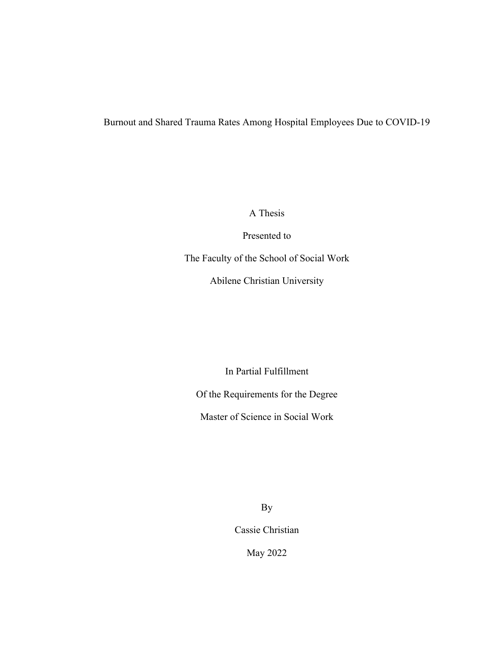# Burnout and Shared Trauma Rates Among Hospital Employees Due to COVID-19

A Thesis

Presented to

The Faculty of the School of Social Work

Abilene Christian University

In Partial Fulfillment

Of the Requirements for the Degree

Master of Science in Social Work

By

Cassie Christian

May 2022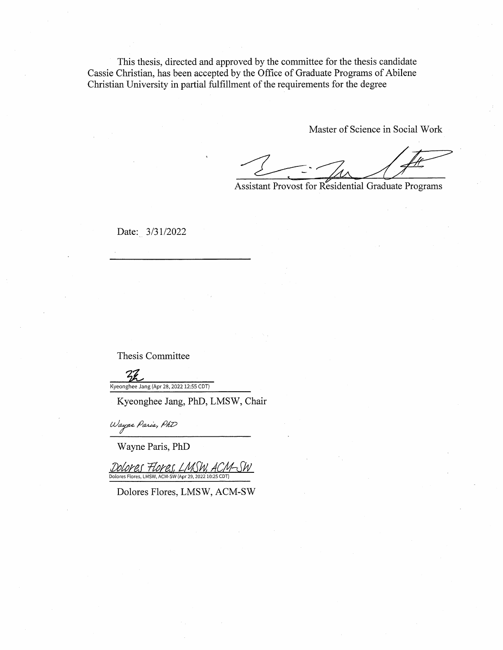This thesis, directed and approved by the committee for the thesis candidate Cassie Christian, has been accepted by the Office of Graduate Programs of Abilene Christian University in partial fulfillment of the requirements for the degree

Master of Science in Social Work

Assistant Provost for Residential Graduate Programs

Date: 3/31/2022

Thesis Committee

 $Z$ Kyeonghee Jang (Apr 28, 2022 12:55 CDT)

Kyeonghee Jang, PhD, LMSW, Chair

Wayne Paris, PhD

Wayne Paris, PhD

Dolores Flores LMSW. Dolores Flores, LMSW, ACM-SW (Apr 29, 2022 10:25 CDT)

Dolores Flores, LMSW, ACM-SW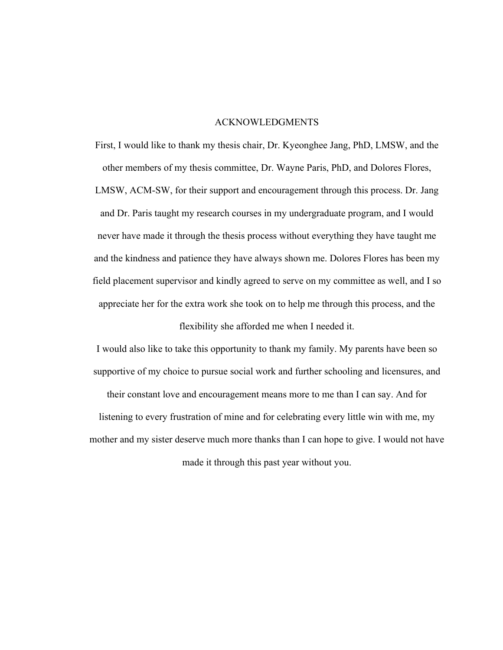## ACKNOWLEDGMENTS

First, I would like to thank my thesis chair, Dr. Kyeonghee Jang, PhD, LMSW, and the other members of my thesis committee, Dr. Wayne Paris, PhD, and Dolores Flores, LMSW, ACM-SW, for their support and encouragement through this process. Dr. Jang and Dr. Paris taught my research courses in my undergraduate program, and I would never have made it through the thesis process without everything they have taught me and the kindness and patience they have always shown me. Dolores Flores has been my field placement supervisor and kindly agreed to serve on my committee as well, and I so appreciate her for the extra work she took on to help me through this process, and the

flexibility she afforded me when I needed it.

I would also like to take this opportunity to thank my family. My parents have been so supportive of my choice to pursue social work and further schooling and licensures, and

their constant love and encouragement means more to me than I can say. And for listening to every frustration of mine and for celebrating every little win with me, my mother and my sister deserve much more thanks than I can hope to give. I would not have made it through this past year without you.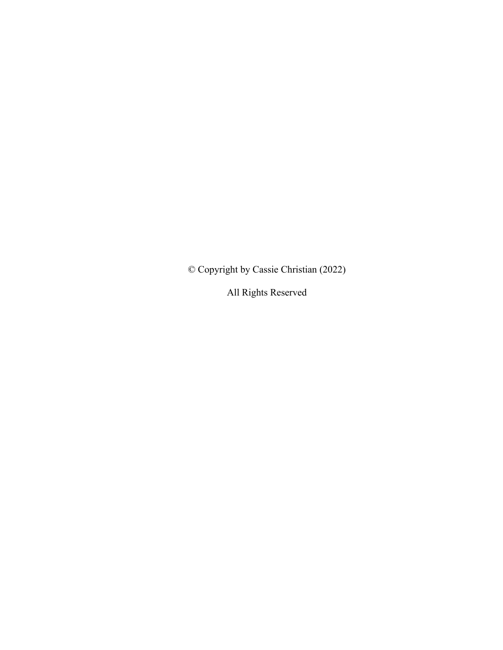© Copyright by Cassie Christian (2022)

All Rights Reserved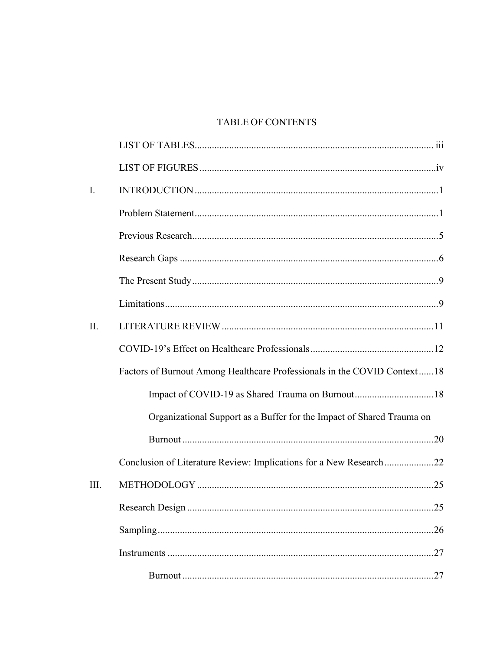# **TABLE OF CONTENTS**

| I.   |                                                                          |
|------|--------------------------------------------------------------------------|
|      |                                                                          |
|      |                                                                          |
|      |                                                                          |
|      |                                                                          |
|      |                                                                          |
| II.  |                                                                          |
|      |                                                                          |
|      | Factors of Burnout Among Healthcare Professionals in the COVID Context18 |
|      |                                                                          |
|      | Organizational Support as a Buffer for the Impact of Shared Trauma on    |
|      |                                                                          |
|      | Conclusion of Literature Review: Implications for a New Research22       |
| III. |                                                                          |
|      | .25                                                                      |
|      |                                                                          |
|      |                                                                          |
|      |                                                                          |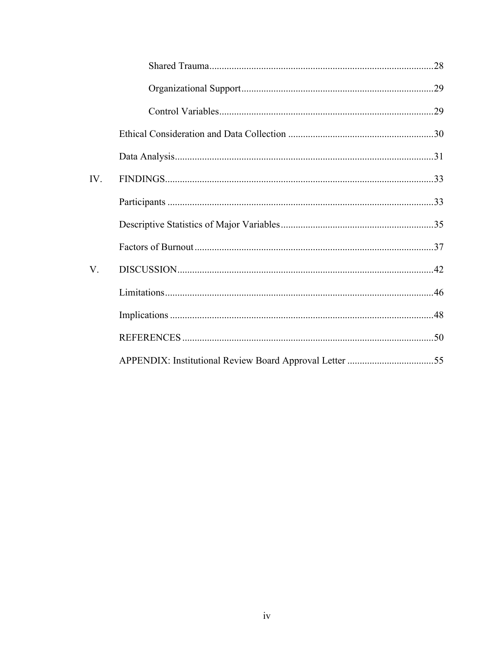| IV. |  |
|-----|--|
|     |  |
|     |  |
|     |  |
| V.  |  |
|     |  |
|     |  |
|     |  |
|     |  |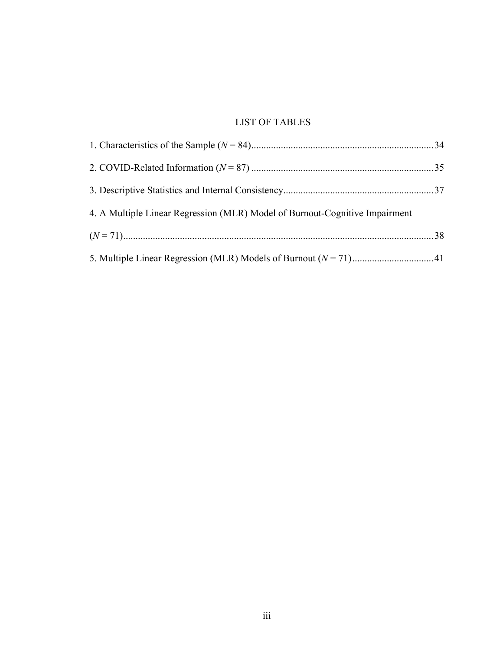# LIST OF TABLES

| 4. A Multiple Linear Regression (MLR) Model of Burnout-Cognitive Impairment |  |
|-----------------------------------------------------------------------------|--|
|                                                                             |  |
|                                                                             |  |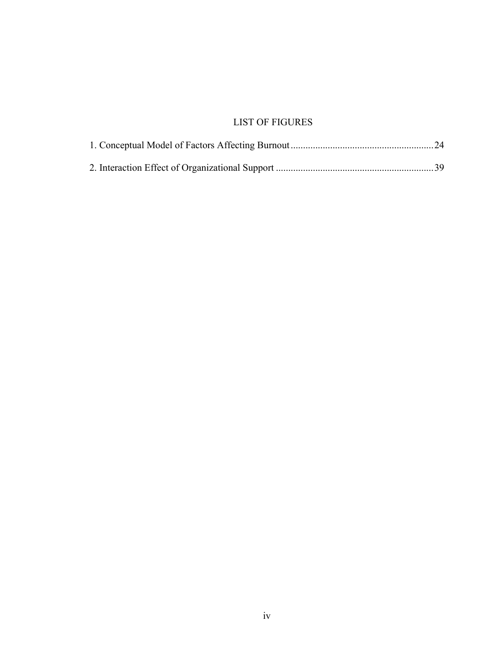# LIST OF FIGURES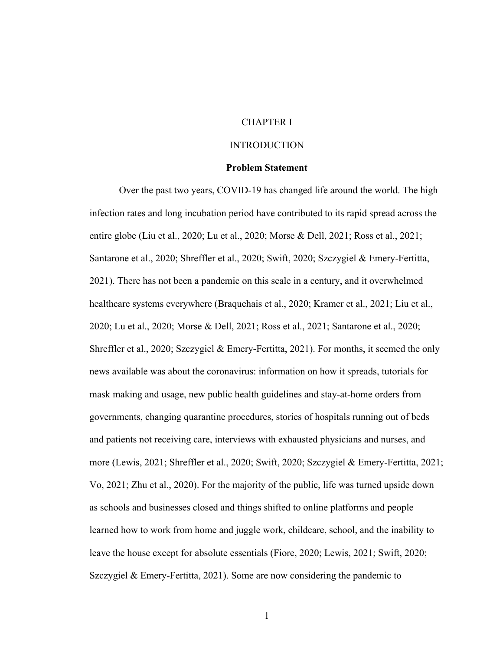# CHAPTER I

#### INTRODUCTION

## **Problem Statement**

Over the past two years, COVID-19 has changed life around the world. The high infection rates and long incubation period have contributed to its rapid spread across the entire globe (Liu et al., 2020; Lu et al., 2020; Morse & Dell, 2021; Ross et al., 2021; Santarone et al., 2020; Shreffler et al., 2020; Swift, 2020; Szczygiel & Emery-Fertitta, 2021). There has not been a pandemic on this scale in a century, and it overwhelmed healthcare systems everywhere (Braquehais et al., 2020; Kramer et al., 2021; Liu et al., 2020; Lu et al., 2020; Morse & Dell, 2021; Ross et al., 2021; Santarone et al., 2020; Shreffler et al., 2020; Szczygiel & Emery-Fertitta, 2021). For months, it seemed the only news available was about the coronavirus: information on how it spreads, tutorials for mask making and usage, new public health guidelines and stay-at-home orders from governments, changing quarantine procedures, stories of hospitals running out of beds and patients not receiving care, interviews with exhausted physicians and nurses, and more (Lewis, 2021; Shreffler et al., 2020; Swift, 2020; Szczygiel & Emery-Fertitta, 2021; Vo, 2021; Zhu et al., 2020). For the majority of the public, life was turned upside down as schools and businesses closed and things shifted to online platforms and people learned how to work from home and juggle work, childcare, school, and the inability to leave the house except for absolute essentials (Fiore, 2020; Lewis, 2021; Swift, 2020; Szczygiel & Emery-Fertitta, 2021). Some are now considering the pandemic to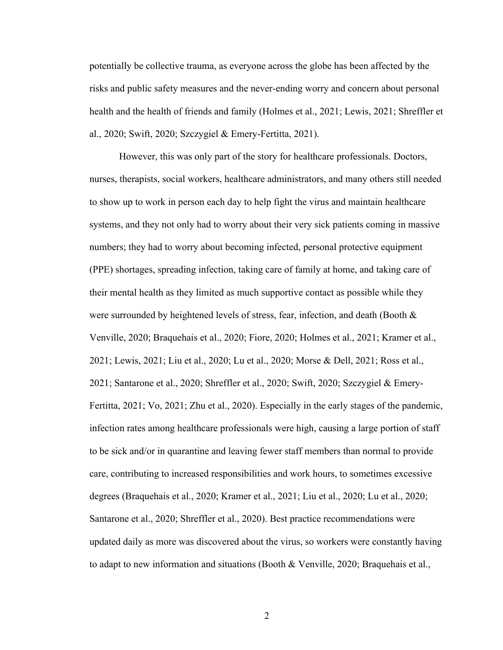potentially be collective trauma, as everyone across the globe has been affected by the risks and public safety measures and the never-ending worry and concern about personal health and the health of friends and family (Holmes et al., 2021; Lewis, 2021; Shreffler et al., 2020; Swift, 2020; Szczygiel & Emery-Fertitta, 2021).

However, this was only part of the story for healthcare professionals. Doctors, nurses, therapists, social workers, healthcare administrators, and many others still needed to show up to work in person each day to help fight the virus and maintain healthcare systems, and they not only had to worry about their very sick patients coming in massive numbers; they had to worry about becoming infected, personal protective equipment (PPE) shortages, spreading infection, taking care of family at home, and taking care of their mental health as they limited as much supportive contact as possible while they were surrounded by heightened levels of stress, fear, infection, and death (Booth & Venville, 2020; Braquehais et al., 2020; Fiore, 2020; Holmes et al., 2021; Kramer et al., 2021; Lewis, 2021; Liu et al., 2020; Lu et al., 2020; Morse & Dell, 2021; Ross et al., 2021; Santarone et al., 2020; Shreffler et al., 2020; Swift, 2020; Szczygiel & Emery-Fertitta, 2021; Vo, 2021; Zhu et al., 2020). Especially in the early stages of the pandemic, infection rates among healthcare professionals were high, causing a large portion of staff to be sick and/or in quarantine and leaving fewer staff members than normal to provide care, contributing to increased responsibilities and work hours, to sometimes excessive degrees (Braquehais et al., 2020; Kramer et al., 2021; Liu et al., 2020; Lu et al., 2020; Santarone et al., 2020; Shreffler et al., 2020). Best practice recommendations were updated daily as more was discovered about the virus, so workers were constantly having to adapt to new information and situations (Booth & Venville, 2020; Braquehais et al.,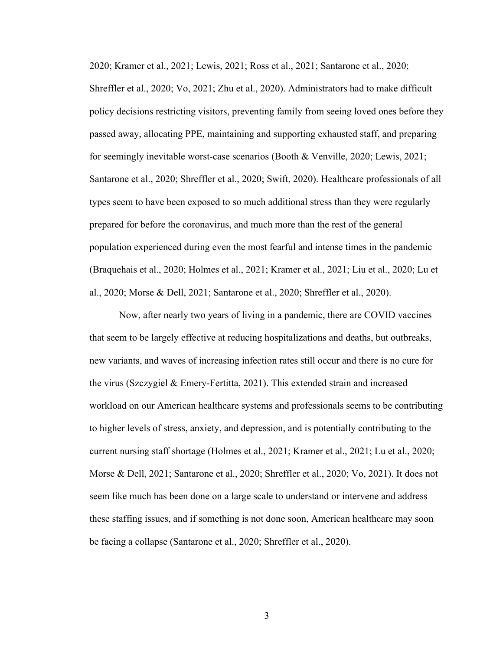2020; Kramer et al., 2021; Lewis, 2021; Ross et al., 2021; Santarone et al., 2020; Shreffler et al., 2020; Vo, 2021; Zhu et al., 2020). Administrators had to make difficult policy decisions restricting visitors, preventing family from seeing loved ones before they passed away, allocating PPE, maintaining and supporting exhausted staff, and preparing for seemingly inevitable worst-case scenarios (Booth & Venville, 2020; Lewis, 2021; Santarone et al., 2020; Shreffler et al., 2020; Swift, 2020). Healthcare professionals of all types seem to have been exposed to so much additional stress than they were regularly prepared for before the coronavirus, and much more than the rest of the general population experienced during even the most fearful and intense times in the pandemic (Braquehais et al., 2020; Holmes et al., 2021; Kramer et al., 2021; Liu et al., 2020; Lu et al., 2020; Morse & Dell, 2021; Santarone et al., 2020; Shreffler et al., 2020).

Now, after nearly two years of living in a pandemic, there are COVID vaccines that seem to be largely effective at reducing hospitalizations and deaths, but outbreaks, new variants, and waves of increasing infection rates still occur and there is no cure for the virus (Szczygiel & Emery-Fertitta, 2021). This extended strain and increased workload on our American healthcare systems and professionals seems to be contributing to higher levels of stress, anxiety, and depression, and is potentially contributing to the current nursing staff shortage (Holmes et al., 2021; Kramer et al., 2021; Lu et al., 2020; Morse & Dell, 2021; Santarone et al., 2020; Shreffler et al., 2020; Vo, 2021). It does not seem like much has been done on a large scale to understand or intervene and address these staffing issues, and if something is not done soon, American healthcare may soon be facing a collapse (Santarone et al., 2020; Shreffler et al., 2020).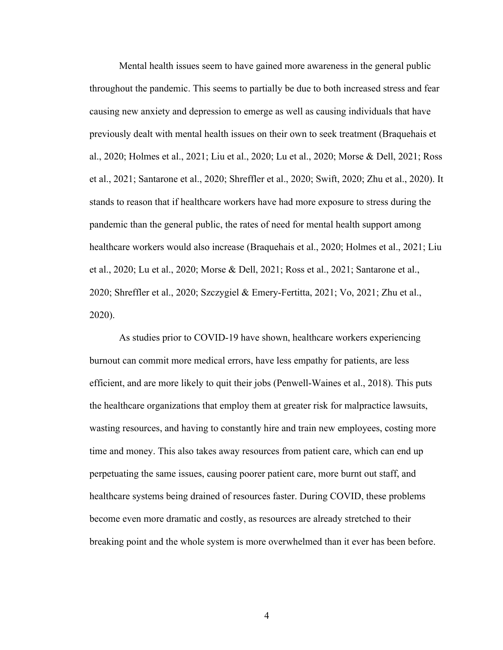Mental health issues seem to have gained more awareness in the general public throughout the pandemic. This seems to partially be due to both increased stress and fear causing new anxiety and depression to emerge as well as causing individuals that have previously dealt with mental health issues on their own to seek treatment (Braquehais et al., 2020; Holmes et al., 2021; Liu et al., 2020; Lu et al., 2020; Morse & Dell, 2021; Ross et al., 2021; Santarone et al., 2020; Shreffler et al., 2020; Swift, 2020; Zhu et al., 2020). It stands to reason that if healthcare workers have had more exposure to stress during the pandemic than the general public, the rates of need for mental health support among healthcare workers would also increase (Braquehais et al., 2020; Holmes et al., 2021; Liu et al., 2020; Lu et al., 2020; Morse & Dell, 2021; Ross et al., 2021; Santarone et al., 2020; Shreffler et al., 2020; Szczygiel & Emery-Fertitta, 2021; Vo, 2021; Zhu et al., 2020).

As studies prior to COVID-19 have shown, healthcare workers experiencing burnout can commit more medical errors, have less empathy for patients, are less efficient, and are more likely to quit their jobs (Penwell-Waines et al., 2018). This puts the healthcare organizations that employ them at greater risk for malpractice lawsuits, wasting resources, and having to constantly hire and train new employees, costing more time and money. This also takes away resources from patient care, which can end up perpetuating the same issues, causing poorer patient care, more burnt out staff, and healthcare systems being drained of resources faster. During COVID, these problems become even more dramatic and costly, as resources are already stretched to their breaking point and the whole system is more overwhelmed than it ever has been before.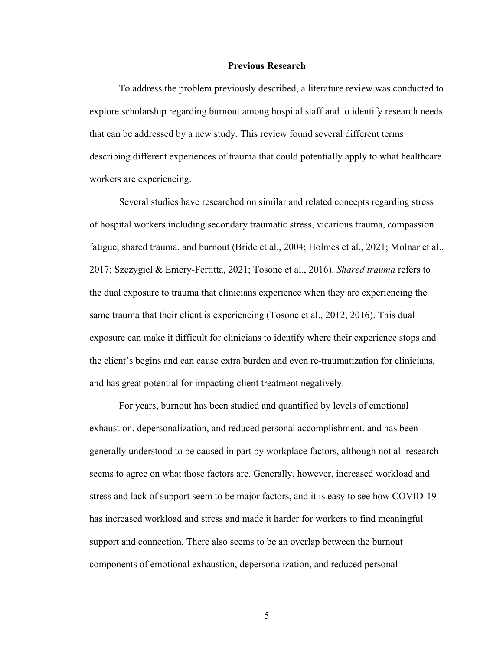#### **Previous Research**

To address the problem previously described, a literature review was conducted to explore scholarship regarding burnout among hospital staff and to identify research needs that can be addressed by a new study. This review found several different terms describing different experiences of trauma that could potentially apply to what healthcare workers are experiencing.

Several studies have researched on similar and related concepts regarding stress of hospital workers including secondary traumatic stress, vicarious trauma, compassion fatigue, shared trauma, and burnout (Bride et al., 2004; Holmes et al., 2021; Molnar et al., 2017; Szczygiel & Emery-Fertitta, 2021; Tosone et al., 2016). *Shared trauma* refers to the dual exposure to trauma that clinicians experience when they are experiencing the same trauma that their client is experiencing (Tosone et al., 2012, 2016). This dual exposure can make it difficult for clinicians to identify where their experience stops and the client's begins and can cause extra burden and even re-traumatization for clinicians, and has great potential for impacting client treatment negatively.

For years, burnout has been studied and quantified by levels of emotional exhaustion, depersonalization, and reduced personal accomplishment, and has been generally understood to be caused in part by workplace factors, although not all research seems to agree on what those factors are. Generally, however, increased workload and stress and lack of support seem to be major factors, and it is easy to see how COVID-19 has increased workload and stress and made it harder for workers to find meaningful support and connection. There also seems to be an overlap between the burnout components of emotional exhaustion, depersonalization, and reduced personal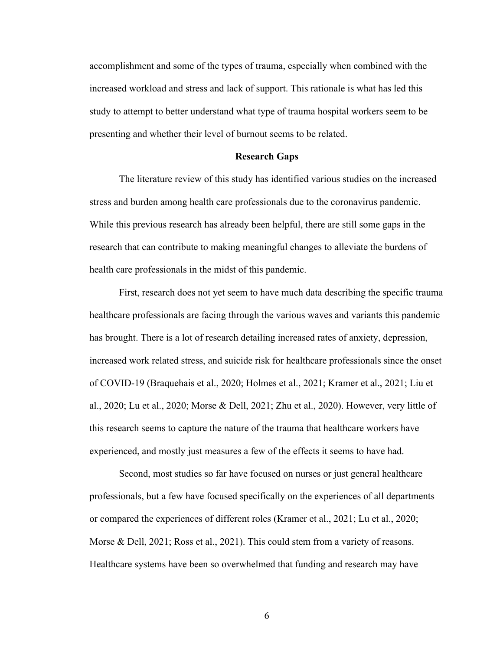accomplishment and some of the types of trauma, especially when combined with the increased workload and stress and lack of support. This rationale is what has led this study to attempt to better understand what type of trauma hospital workers seem to be presenting and whether their level of burnout seems to be related.

#### **Research Gaps**

The literature review of this study has identified various studies on the increased stress and burden among health care professionals due to the coronavirus pandemic. While this previous research has already been helpful, there are still some gaps in the research that can contribute to making meaningful changes to alleviate the burdens of health care professionals in the midst of this pandemic.

First, research does not yet seem to have much data describing the specific trauma healthcare professionals are facing through the various waves and variants this pandemic has brought. There is a lot of research detailing increased rates of anxiety, depression, increased work related stress, and suicide risk for healthcare professionals since the onset of COVID-19 (Braquehais et al., 2020; Holmes et al., 2021; Kramer et al., 2021; Liu et al., 2020; Lu et al., 2020; Morse & Dell, 2021; Zhu et al., 2020). However, very little of this research seems to capture the nature of the trauma that healthcare workers have experienced, and mostly just measures a few of the effects it seems to have had.

Second, most studies so far have focused on nurses or just general healthcare professionals, but a few have focused specifically on the experiences of all departments or compared the experiences of different roles (Kramer et al., 2021; Lu et al., 2020; Morse & Dell, 2021; Ross et al., 2021). This could stem from a variety of reasons. Healthcare systems have been so overwhelmed that funding and research may have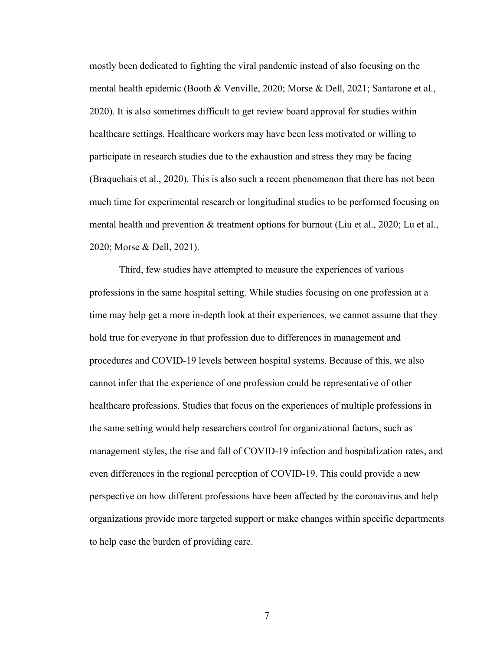mostly been dedicated to fighting the viral pandemic instead of also focusing on the mental health epidemic (Booth & Venville, 2020; Morse & Dell, 2021; Santarone et al., 2020). It is also sometimes difficult to get review board approval for studies within healthcare settings. Healthcare workers may have been less motivated or willing to participate in research studies due to the exhaustion and stress they may be facing (Braquehais et al., 2020). This is also such a recent phenomenon that there has not been much time for experimental research or longitudinal studies to be performed focusing on mental health and prevention & treatment options for burnout (Liu et al., 2020; Lu et al., 2020; Morse & Dell, 2021).

Third, few studies have attempted to measure the experiences of various professions in the same hospital setting. While studies focusing on one profession at a time may help get a more in-depth look at their experiences, we cannot assume that they hold true for everyone in that profession due to differences in management and procedures and COVID-19 levels between hospital systems. Because of this, we also cannot infer that the experience of one profession could be representative of other healthcare professions. Studies that focus on the experiences of multiple professions in the same setting would help researchers control for organizational factors, such as management styles, the rise and fall of COVID-19 infection and hospitalization rates, and even differences in the regional perception of COVID-19. This could provide a new perspective on how different professions have been affected by the coronavirus and help organizations provide more targeted support or make changes within specific departments to help ease the burden of providing care.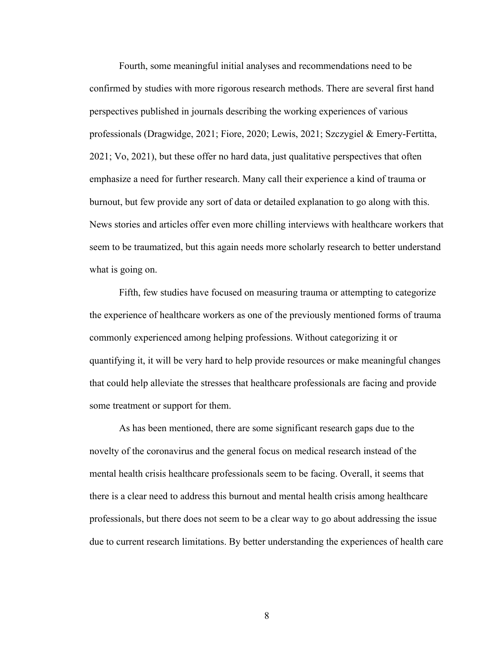Fourth, some meaningful initial analyses and recommendations need to be confirmed by studies with more rigorous research methods. There are several first hand perspectives published in journals describing the working experiences of various professionals (Dragwidge, 2021; Fiore, 2020; Lewis, 2021; Szczygiel & Emery-Fertitta, 2021; Vo, 2021), but these offer no hard data, just qualitative perspectives that often emphasize a need for further research. Many call their experience a kind of trauma or burnout, but few provide any sort of data or detailed explanation to go along with this. News stories and articles offer even more chilling interviews with healthcare workers that seem to be traumatized, but this again needs more scholarly research to better understand what is going on.

Fifth, few studies have focused on measuring trauma or attempting to categorize the experience of healthcare workers as one of the previously mentioned forms of trauma commonly experienced among helping professions. Without categorizing it or quantifying it, it will be very hard to help provide resources or make meaningful changes that could help alleviate the stresses that healthcare professionals are facing and provide some treatment or support for them.

As has been mentioned, there are some significant research gaps due to the novelty of the coronavirus and the general focus on medical research instead of the mental health crisis healthcare professionals seem to be facing. Overall, it seems that there is a clear need to address this burnout and mental health crisis among healthcare professionals, but there does not seem to be a clear way to go about addressing the issue due to current research limitations. By better understanding the experiences of health care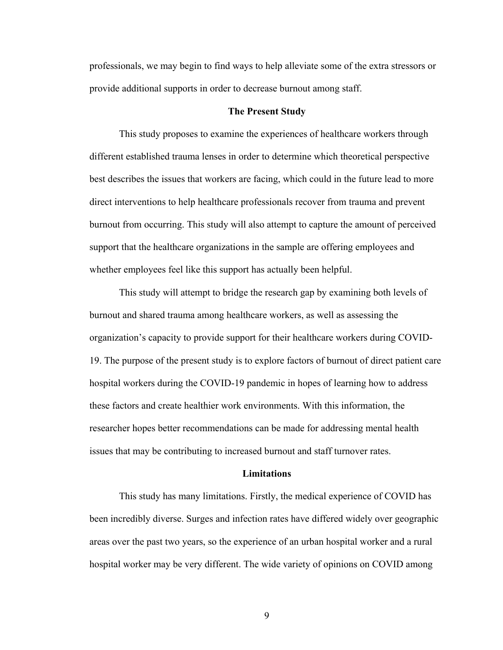professionals, we may begin to find ways to help alleviate some of the extra stressors or provide additional supports in order to decrease burnout among staff.

#### **The Present Study**

This study proposes to examine the experiences of healthcare workers through different established trauma lenses in order to determine which theoretical perspective best describes the issues that workers are facing, which could in the future lead to more direct interventions to help healthcare professionals recover from trauma and prevent burnout from occurring. This study will also attempt to capture the amount of perceived support that the healthcare organizations in the sample are offering employees and whether employees feel like this support has actually been helpful.

This study will attempt to bridge the research gap by examining both levels of burnout and shared trauma among healthcare workers, as well as assessing the organization's capacity to provide support for their healthcare workers during COVID-19. The purpose of the present study is to explore factors of burnout of direct patient care hospital workers during the COVID-19 pandemic in hopes of learning how to address these factors and create healthier work environments. With this information, the researcher hopes better recommendations can be made for addressing mental health issues that may be contributing to increased burnout and staff turnover rates.

## **Limitations**

This study has many limitations. Firstly, the medical experience of COVID has been incredibly diverse. Surges and infection rates have differed widely over geographic areas over the past two years, so the experience of an urban hospital worker and a rural hospital worker may be very different. The wide variety of opinions on COVID among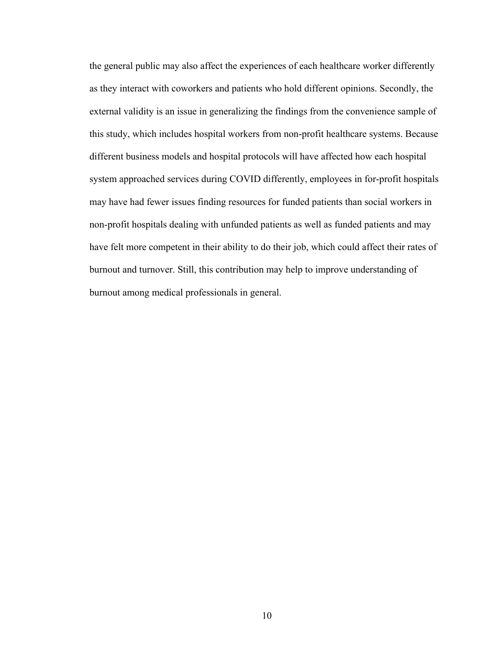the general public may also affect the experiences of each healthcare worker differently as they interact with coworkers and patients who hold different opinions. Secondly, the external validity is an issue in generalizing the findings from the convenience sample of this study, which includes hospital workers from non-profit healthcare systems. Because different business models and hospital protocols will have affected how each hospital system approached services during COVID differently, employees in for-profit hospitals may have had fewer issues finding resources for funded patients than social workers in non-profit hospitals dealing with unfunded patients as well as funded patients and may have felt more competent in their ability to do their job, which could affect their rates of burnout and turnover. Still, this contribution may help to improve understanding of burnout among medical professionals in general.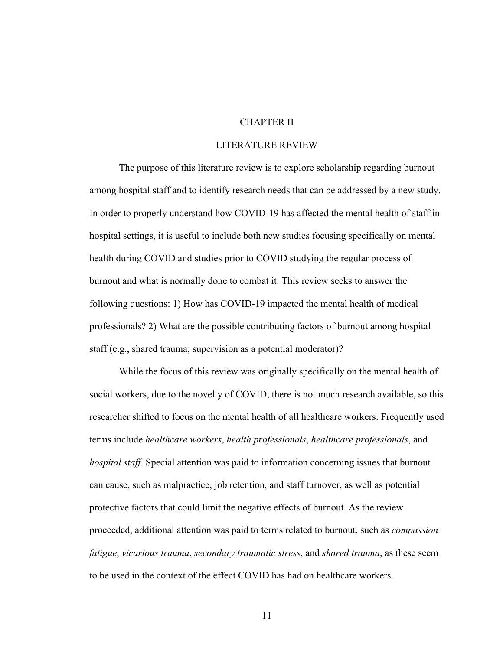# CHAPTER II

## LITERATURE REVIEW

The purpose of this literature review is to explore scholarship regarding burnout among hospital staff and to identify research needs that can be addressed by a new study. In order to properly understand how COVID-19 has affected the mental health of staff in hospital settings, it is useful to include both new studies focusing specifically on mental health during COVID and studies prior to COVID studying the regular process of burnout and what is normally done to combat it. This review seeks to answer the following questions: 1) How has COVID-19 impacted the mental health of medical professionals? 2) What are the possible contributing factors of burnout among hospital staff (e.g., shared trauma; supervision as a potential moderator)?

While the focus of this review was originally specifically on the mental health of social workers, due to the novelty of COVID, there is not much research available, so this researcher shifted to focus on the mental health of all healthcare workers. Frequently used terms include *healthcare workers*, *health professionals*, *healthcare professionals*, and *hospital staff*. Special attention was paid to information concerning issues that burnout can cause, such as malpractice, job retention, and staff turnover, as well as potential protective factors that could limit the negative effects of burnout. As the review proceeded, additional attention was paid to terms related to burnout, such as *compassion fatigue*, *vicarious trauma*, *secondary traumatic stress*, and *shared trauma*, as these seem to be used in the context of the effect COVID has had on healthcare workers.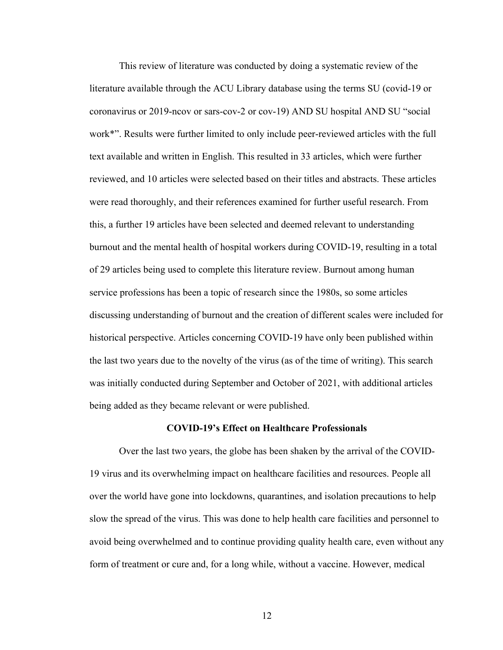This review of literature was conducted by doing a systematic review of the literature available through the ACU Library database using the terms SU (covid-19 or coronavirus or 2019-ncov or sars-cov-2 or cov-19) AND SU hospital AND SU "social work\*". Results were further limited to only include peer-reviewed articles with the full text available and written in English. This resulted in 33 articles, which were further reviewed, and 10 articles were selected based on their titles and abstracts. These articles were read thoroughly, and their references examined for further useful research. From this, a further 19 articles have been selected and deemed relevant to understanding burnout and the mental health of hospital workers during COVID-19, resulting in a total of 29 articles being used to complete this literature review. Burnout among human service professions has been a topic of research since the 1980s, so some articles discussing understanding of burnout and the creation of different scales were included for historical perspective. Articles concerning COVID-19 have only been published within the last two years due to the novelty of the virus (as of the time of writing). This search was initially conducted during September and October of 2021, with additional articles being added as they became relevant or were published.

### **COVID-19's Effect on Healthcare Professionals**

Over the last two years, the globe has been shaken by the arrival of the COVID-19 virus and its overwhelming impact on healthcare facilities and resources. People all over the world have gone into lockdowns, quarantines, and isolation precautions to help slow the spread of the virus. This was done to help health care facilities and personnel to avoid being overwhelmed and to continue providing quality health care, even without any form of treatment or cure and, for a long while, without a vaccine. However, medical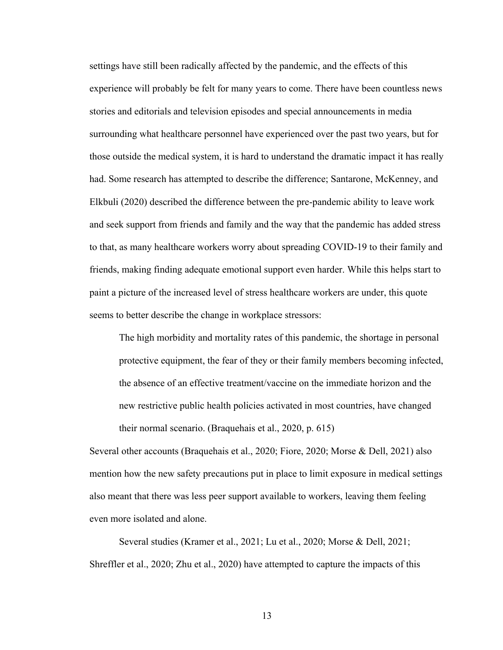settings have still been radically affected by the pandemic, and the effects of this experience will probably be felt for many years to come. There have been countless news stories and editorials and television episodes and special announcements in media surrounding what healthcare personnel have experienced over the past two years, but for those outside the medical system, it is hard to understand the dramatic impact it has really had. Some research has attempted to describe the difference; Santarone, McKenney, and Elkbuli (2020) described the difference between the pre-pandemic ability to leave work and seek support from friends and family and the way that the pandemic has added stress to that, as many healthcare workers worry about spreading COVID-19 to their family and friends, making finding adequate emotional support even harder. While this helps start to paint a picture of the increased level of stress healthcare workers are under, this quote seems to better describe the change in workplace stressors:

The high morbidity and mortality rates of this pandemic, the shortage in personal protective equipment, the fear of they or their family members becoming infected, the absence of an effective treatment/vaccine on the immediate horizon and the new restrictive public health policies activated in most countries, have changed their normal scenario. (Braquehais et al., 2020, p. 615)

Several other accounts (Braquehais et al., 2020; Fiore, 2020; Morse & Dell, 2021) also mention how the new safety precautions put in place to limit exposure in medical settings also meant that there was less peer support available to workers, leaving them feeling even more isolated and alone.

Several studies (Kramer et al., 2021; Lu et al., 2020; Morse & Dell, 2021; Shreffler et al., 2020; Zhu et al., 2020) have attempted to capture the impacts of this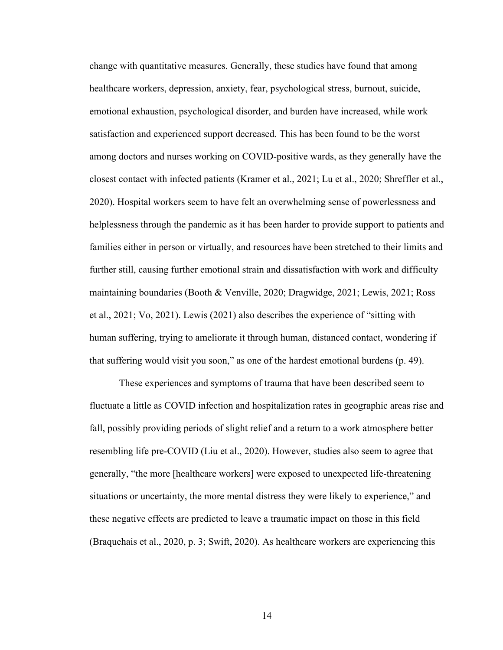change with quantitative measures. Generally, these studies have found that among healthcare workers, depression, anxiety, fear, psychological stress, burnout, suicide, emotional exhaustion, psychological disorder, and burden have increased, while work satisfaction and experienced support decreased. This has been found to be the worst among doctors and nurses working on COVID-positive wards, as they generally have the closest contact with infected patients (Kramer et al., 2021; Lu et al., 2020; Shreffler et al., 2020). Hospital workers seem to have felt an overwhelming sense of powerlessness and helplessness through the pandemic as it has been harder to provide support to patients and families either in person or virtually, and resources have been stretched to their limits and further still, causing further emotional strain and dissatisfaction with work and difficulty maintaining boundaries (Booth & Venville, 2020; Dragwidge, 2021; Lewis, 2021; Ross et al., 2021; Vo, 2021). Lewis (2021) also describes the experience of "sitting with human suffering, trying to ameliorate it through human, distanced contact, wondering if that suffering would visit you soon," as one of the hardest emotional burdens (p. 49).

These experiences and symptoms of trauma that have been described seem to fluctuate a little as COVID infection and hospitalization rates in geographic areas rise and fall, possibly providing periods of slight relief and a return to a work atmosphere better resembling life pre-COVID (Liu et al., 2020). However, studies also seem to agree that generally, "the more [healthcare workers] were exposed to unexpected life-threatening situations or uncertainty, the more mental distress they were likely to experience," and these negative effects are predicted to leave a traumatic impact on those in this field (Braquehais et al., 2020, p. 3; Swift, 2020). As healthcare workers are experiencing this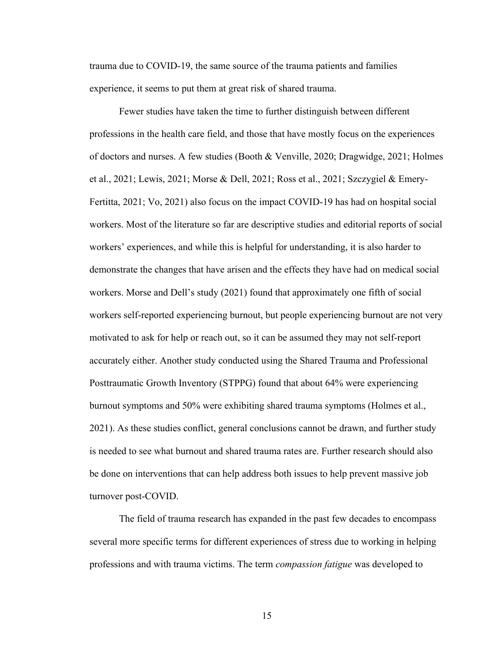trauma due to COVID-19, the same source of the trauma patients and families experience, it seems to put them at great risk of shared trauma.

Fewer studies have taken the time to further distinguish between different professions in the health care field, and those that have mostly focus on the experiences of doctors and nurses. A few studies (Booth & Venville, 2020; Dragwidge, 2021; Holmes et al., 2021; Lewis, 2021; Morse & Dell, 2021; Ross et al., 2021; Szczygiel & Emery-Fertitta, 2021; Vo, 2021) also focus on the impact COVID-19 has had on hospital social workers. Most of the literature so far are descriptive studies and editorial reports of social workers' experiences, and while this is helpful for understanding, it is also harder to demonstrate the changes that have arisen and the effects they have had on medical social workers. Morse and Dell's study (2021) found that approximately one fifth of social workers self-reported experiencing burnout, but people experiencing burnout are not very motivated to ask for help or reach out, so it can be assumed they may not self-report accurately either. Another study conducted using the Shared Trauma and Professional Posttraumatic Growth Inventory (STPPG) found that about 64% were experiencing burnout symptoms and 50% were exhibiting shared trauma symptoms (Holmes et al., 2021). As these studies conflict, general conclusions cannot be drawn, and further study is needed to see what burnout and shared trauma rates are. Further research should also be done on interventions that can help address both issues to help prevent massive job turnover post-COVID.

The field of trauma research has expanded in the past few decades to encompass several more specific terms for different experiences of stress due to working in helping professions and with trauma victims. The term *compassion fatigue* was developed to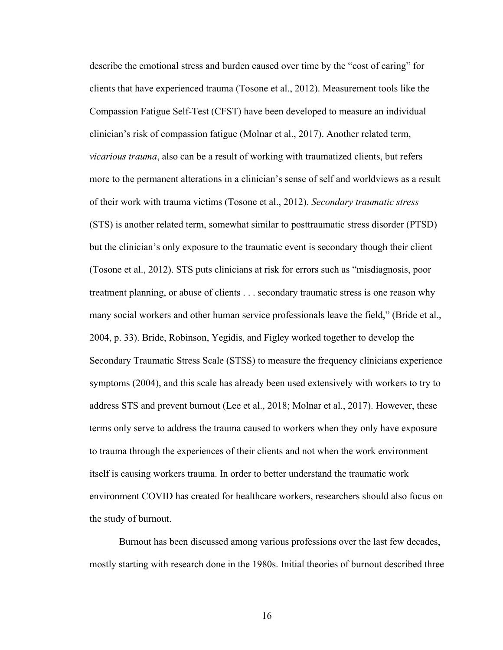describe the emotional stress and burden caused over time by the "cost of caring" for clients that have experienced trauma (Tosone et al., 2012). Measurement tools like the Compassion Fatigue Self-Test (CFST) have been developed to measure an individual clinician's risk of compassion fatigue (Molnar et al., 2017). Another related term, *vicarious trauma*, also can be a result of working with traumatized clients, but refers more to the permanent alterations in a clinician's sense of self and worldviews as a result of their work with trauma victims (Tosone et al., 2012). *Secondary traumatic stress* (STS) is another related term, somewhat similar to posttraumatic stress disorder (PTSD) but the clinician's only exposure to the traumatic event is secondary though their client (Tosone et al., 2012). STS puts clinicians at risk for errors such as "misdiagnosis, poor treatment planning, or abuse of clients . . . secondary traumatic stress is one reason why many social workers and other human service professionals leave the field," (Bride et al., 2004, p. 33). Bride, Robinson, Yegidis, and Figley worked together to develop the Secondary Traumatic Stress Scale (STSS) to measure the frequency clinicians experience symptoms (2004), and this scale has already been used extensively with workers to try to address STS and prevent burnout (Lee et al., 2018; Molnar et al., 2017). However, these terms only serve to address the trauma caused to workers when they only have exposure to trauma through the experiences of their clients and not when the work environment itself is causing workers trauma. In order to better understand the traumatic work environment COVID has created for healthcare workers, researchers should also focus on the study of burnout.

Burnout has been discussed among various professions over the last few decades, mostly starting with research done in the 1980s. Initial theories of burnout described three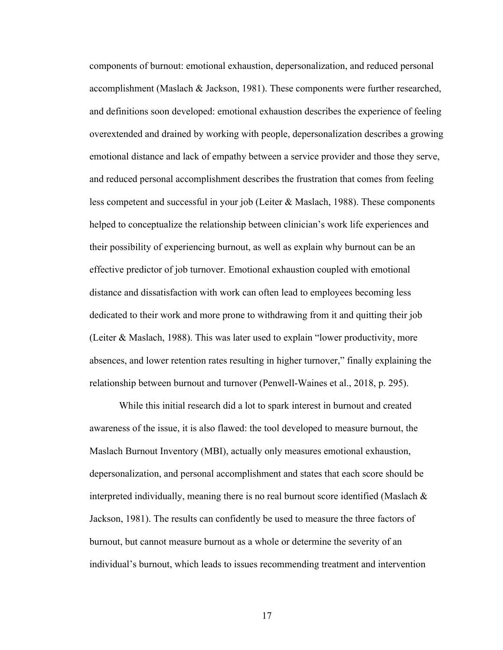components of burnout: emotional exhaustion, depersonalization, and reduced personal accomplishment (Maslach & Jackson, 1981). These components were further researched, and definitions soon developed: emotional exhaustion describes the experience of feeling overextended and drained by working with people, depersonalization describes a growing emotional distance and lack of empathy between a service provider and those they serve, and reduced personal accomplishment describes the frustration that comes from feeling less competent and successful in your job (Leiter & Maslach, 1988). These components helped to conceptualize the relationship between clinician's work life experiences and their possibility of experiencing burnout, as well as explain why burnout can be an effective predictor of job turnover. Emotional exhaustion coupled with emotional distance and dissatisfaction with work can often lead to employees becoming less dedicated to their work and more prone to withdrawing from it and quitting their job (Leiter & Maslach, 1988). This was later used to explain "lower productivity, more absences, and lower retention rates resulting in higher turnover," finally explaining the relationship between burnout and turnover (Penwell-Waines et al., 2018, p. 295).

While this initial research did a lot to spark interest in burnout and created awareness of the issue, it is also flawed: the tool developed to measure burnout, the Maslach Burnout Inventory (MBI), actually only measures emotional exhaustion, depersonalization, and personal accomplishment and states that each score should be interpreted individually, meaning there is no real burnout score identified (Maslach & Jackson, 1981). The results can confidently be used to measure the three factors of burnout, but cannot measure burnout as a whole or determine the severity of an individual's burnout, which leads to issues recommending treatment and intervention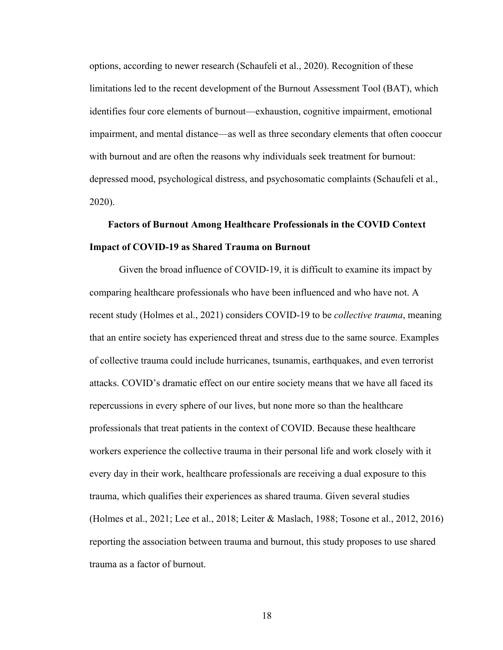options, according to newer research (Schaufeli et al., 2020). Recognition of these limitations led to the recent development of the Burnout Assessment Tool (BAT), which identifies four core elements of burnout—exhaustion, cognitive impairment, emotional impairment, and mental distance—as well as three secondary elements that often cooccur with burnout and are often the reasons why individuals seek treatment for burnout: depressed mood, psychological distress, and psychosomatic complaints (Schaufeli et al., 2020).

# **Factors of Burnout Among Healthcare Professionals in the COVID Context Impact of COVID-19 as Shared Trauma on Burnout**

Given the broad influence of COVID-19, it is difficult to examine its impact by comparing healthcare professionals who have been influenced and who have not. A recent study (Holmes et al., 2021) considers COVID-19 to be *collective trauma*, meaning that an entire society has experienced threat and stress due to the same source. Examples of collective trauma could include hurricanes, tsunamis, earthquakes, and even terrorist attacks. COVID's dramatic effect on our entire society means that we have all faced its repercussions in every sphere of our lives, but none more so than the healthcare professionals that treat patients in the context of COVID. Because these healthcare workers experience the collective trauma in their personal life and work closely with it every day in their work, healthcare professionals are receiving a dual exposure to this trauma, which qualifies their experiences as shared trauma. Given several studies (Holmes et al., 2021; Lee et al., 2018; Leiter & Maslach, 1988; Tosone et al., 2012, 2016) reporting the association between trauma and burnout, this study proposes to use shared trauma as a factor of burnout.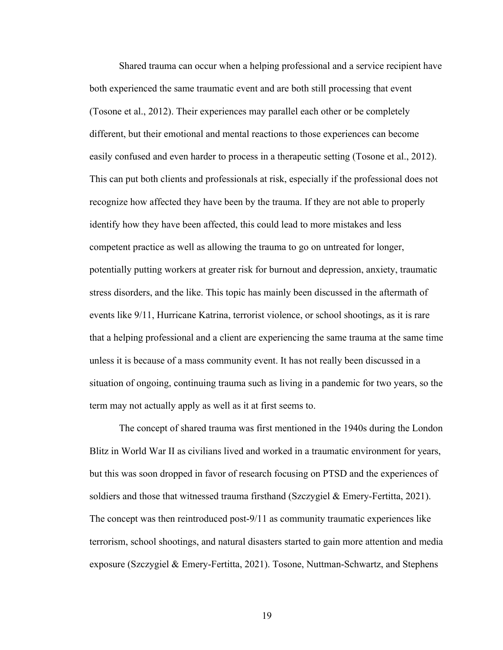Shared trauma can occur when a helping professional and a service recipient have both experienced the same traumatic event and are both still processing that event (Tosone et al., 2012). Their experiences may parallel each other or be completely different, but their emotional and mental reactions to those experiences can become easily confused and even harder to process in a therapeutic setting (Tosone et al., 2012). This can put both clients and professionals at risk, especially if the professional does not recognize how affected they have been by the trauma. If they are not able to properly identify how they have been affected, this could lead to more mistakes and less competent practice as well as allowing the trauma to go on untreated for longer, potentially putting workers at greater risk for burnout and depression, anxiety, traumatic stress disorders, and the like. This topic has mainly been discussed in the aftermath of events like 9/11, Hurricane Katrina, terrorist violence, or school shootings, as it is rare that a helping professional and a client are experiencing the same trauma at the same time unless it is because of a mass community event. It has not really been discussed in a situation of ongoing, continuing trauma such as living in a pandemic for two years, so the term may not actually apply as well as it at first seems to.

The concept of shared trauma was first mentioned in the 1940s during the London Blitz in World War II as civilians lived and worked in a traumatic environment for years, but this was soon dropped in favor of research focusing on PTSD and the experiences of soldiers and those that witnessed trauma firsthand (Szczygiel & Emery-Fertitta, 2021). The concept was then reintroduced post-9/11 as community traumatic experiences like terrorism, school shootings, and natural disasters started to gain more attention and media exposure (Szczygiel & Emery-Fertitta, 2021). Tosone, Nuttman-Schwartz, and Stephens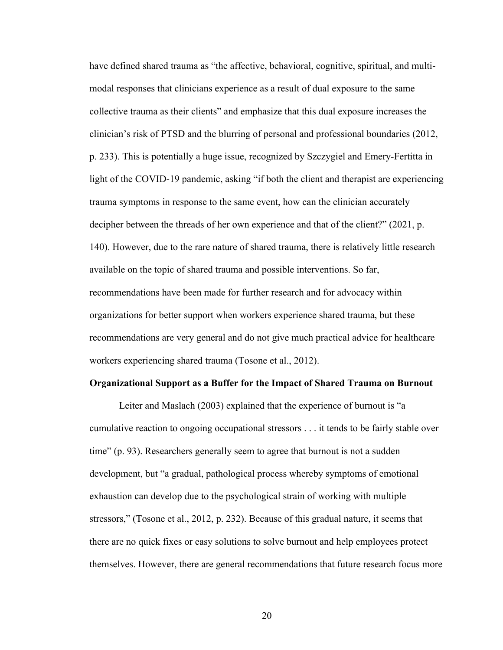have defined shared trauma as "the affective, behavioral, cognitive, spiritual, and multimodal responses that clinicians experience as a result of dual exposure to the same collective trauma as their clients" and emphasize that this dual exposure increases the clinician's risk of PTSD and the blurring of personal and professional boundaries (2012, p. 233). This is potentially a huge issue, recognized by Szczygiel and Emery-Fertitta in light of the COVID-19 pandemic, asking "if both the client and therapist are experiencing trauma symptoms in response to the same event, how can the clinician accurately decipher between the threads of her own experience and that of the client?" (2021, p. 140). However, due to the rare nature of shared trauma, there is relatively little research available on the topic of shared trauma and possible interventions. So far, recommendations have been made for further research and for advocacy within organizations for better support when workers experience shared trauma, but these recommendations are very general and do not give much practical advice for healthcare workers experiencing shared trauma (Tosone et al., 2012).

## **Organizational Support as a Buffer for the Impact of Shared Trauma on Burnout**

Leiter and Maslach (2003) explained that the experience of burnout is "a cumulative reaction to ongoing occupational stressors . . . it tends to be fairly stable over time" (p. 93). Researchers generally seem to agree that burnout is not a sudden development, but "a gradual, pathological process whereby symptoms of emotional exhaustion can develop due to the psychological strain of working with multiple stressors," (Tosone et al., 2012, p. 232). Because of this gradual nature, it seems that there are no quick fixes or easy solutions to solve burnout and help employees protect themselves. However, there are general recommendations that future research focus more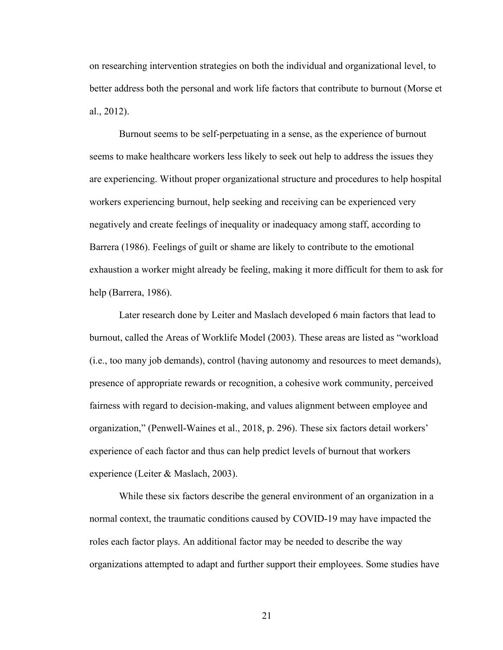on researching intervention strategies on both the individual and organizational level, to better address both the personal and work life factors that contribute to burnout (Morse et al., 2012).

Burnout seems to be self-perpetuating in a sense, as the experience of burnout seems to make healthcare workers less likely to seek out help to address the issues they are experiencing. Without proper organizational structure and procedures to help hospital workers experiencing burnout, help seeking and receiving can be experienced very negatively and create feelings of inequality or inadequacy among staff, according to Barrera (1986). Feelings of guilt or shame are likely to contribute to the emotional exhaustion a worker might already be feeling, making it more difficult for them to ask for help (Barrera, 1986).

Later research done by Leiter and Maslach developed 6 main factors that lead to burnout, called the Areas of Worklife Model (2003). These areas are listed as "workload (i.e., too many job demands), control (having autonomy and resources to meet demands), presence of appropriate rewards or recognition, a cohesive work community, perceived fairness with regard to decision-making, and values alignment between employee and organization," (Penwell-Waines et al., 2018, p. 296). These six factors detail workers' experience of each factor and thus can help predict levels of burnout that workers experience (Leiter & Maslach, 2003).

While these six factors describe the general environment of an organization in a normal context, the traumatic conditions caused by COVID-19 may have impacted the roles each factor plays. An additional factor may be needed to describe the way organizations attempted to adapt and further support their employees. Some studies have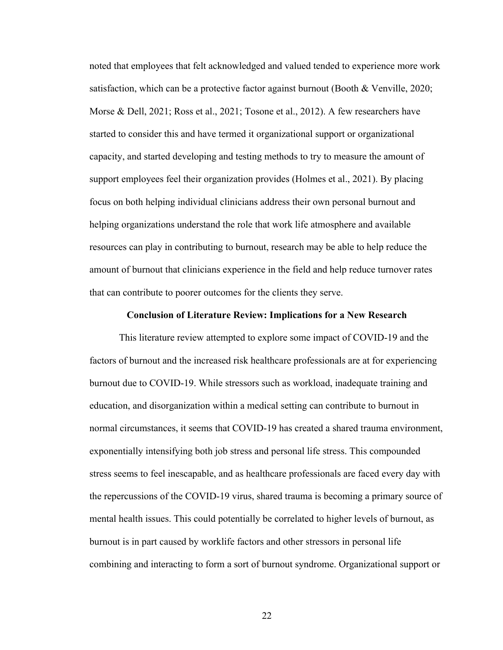noted that employees that felt acknowledged and valued tended to experience more work satisfaction, which can be a protective factor against burnout (Booth & Venville, 2020; Morse & Dell, 2021; Ross et al., 2021; Tosone et al., 2012). A few researchers have started to consider this and have termed it organizational support or organizational capacity, and started developing and testing methods to try to measure the amount of support employees feel their organization provides (Holmes et al., 2021). By placing focus on both helping individual clinicians address their own personal burnout and helping organizations understand the role that work life atmosphere and available resources can play in contributing to burnout, research may be able to help reduce the amount of burnout that clinicians experience in the field and help reduce turnover rates that can contribute to poorer outcomes for the clients they serve.

#### **Conclusion of Literature Review: Implications for a New Research**

This literature review attempted to explore some impact of COVID-19 and the factors of burnout and the increased risk healthcare professionals are at for experiencing burnout due to COVID-19. While stressors such as workload, inadequate training and education, and disorganization within a medical setting can contribute to burnout in normal circumstances, it seems that COVID-19 has created a shared trauma environment, exponentially intensifying both job stress and personal life stress. This compounded stress seems to feel inescapable, and as healthcare professionals are faced every day with the repercussions of the COVID-19 virus, shared trauma is becoming a primary source of mental health issues. This could potentially be correlated to higher levels of burnout, as burnout is in part caused by worklife factors and other stressors in personal life combining and interacting to form a sort of burnout syndrome. Organizational support or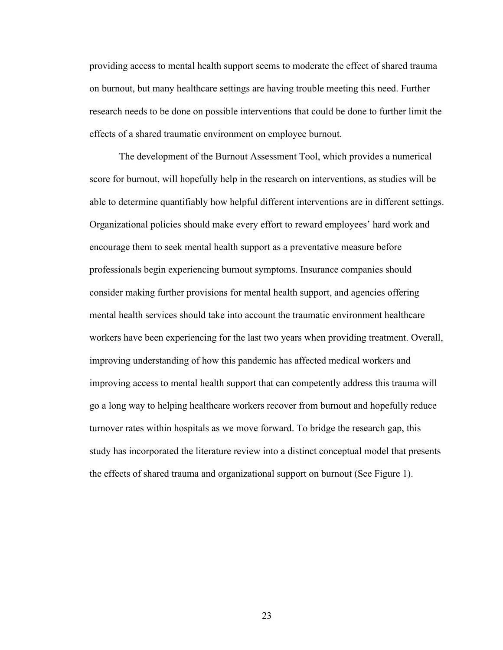providing access to mental health support seems to moderate the effect of shared trauma on burnout, but many healthcare settings are having trouble meeting this need. Further research needs to be done on possible interventions that could be done to further limit the effects of a shared traumatic environment on employee burnout.

The development of the Burnout Assessment Tool, which provides a numerical score for burnout, will hopefully help in the research on interventions, as studies will be able to determine quantifiably how helpful different interventions are in different settings. Organizational policies should make every effort to reward employees' hard work and encourage them to seek mental health support as a preventative measure before professionals begin experiencing burnout symptoms. Insurance companies should consider making further provisions for mental health support, and agencies offering mental health services should take into account the traumatic environment healthcare workers have been experiencing for the last two years when providing treatment. Overall, improving understanding of how this pandemic has affected medical workers and improving access to mental health support that can competently address this trauma will go a long way to helping healthcare workers recover from burnout and hopefully reduce turnover rates within hospitals as we move forward. To bridge the research gap, this study has incorporated the literature review into a distinct conceptual model that presents the effects of shared trauma and organizational support on burnout (See Figure 1).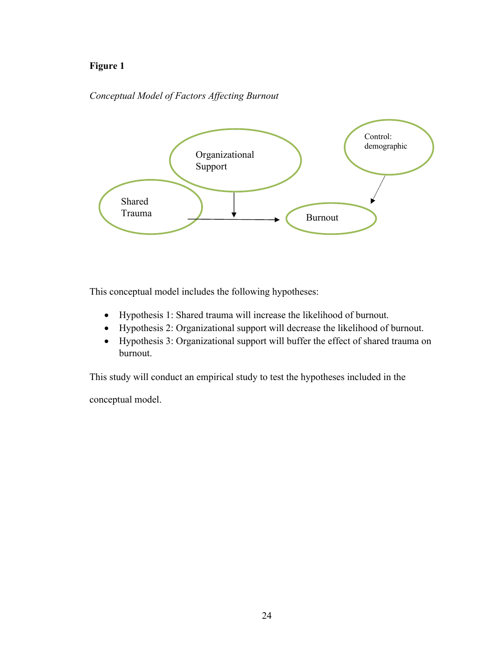# **Figure 1**

# *Conceptual Model of Factors Affecting Burnout*



This conceptual model includes the following hypotheses:

- Hypothesis 1: Shared trauma will increase the likelihood of burnout.
- Hypothesis 2: Organizational support will decrease the likelihood of burnout.
- Hypothesis 3: Organizational support will buffer the effect of shared trauma on burnout.

This study will conduct an empirical study to test the hypotheses included in the

conceptual model.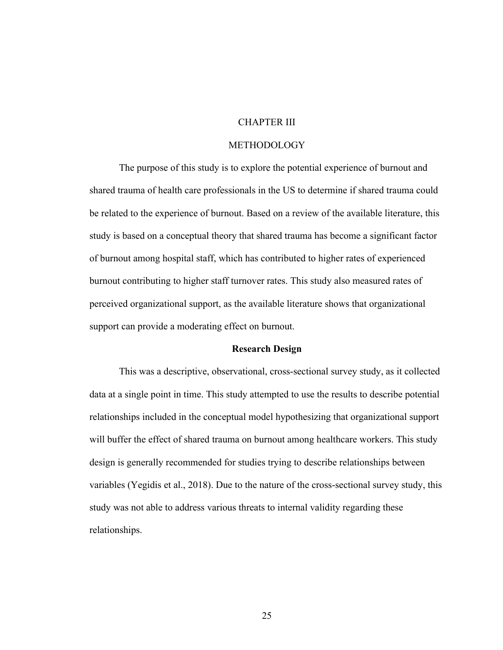# CHAPTER III

## METHODOLOGY

The purpose of this study is to explore the potential experience of burnout and shared trauma of health care professionals in the US to determine if shared trauma could be related to the experience of burnout. Based on a review of the available literature, this study is based on a conceptual theory that shared trauma has become a significant factor of burnout among hospital staff, which has contributed to higher rates of experienced burnout contributing to higher staff turnover rates. This study also measured rates of perceived organizational support, as the available literature shows that organizational support can provide a moderating effect on burnout.

## **Research Design**

This was a descriptive, observational, cross-sectional survey study, as it collected data at a single point in time. This study attempted to use the results to describe potential relationships included in the conceptual model hypothesizing that organizational support will buffer the effect of shared trauma on burnout among healthcare workers. This study design is generally recommended for studies trying to describe relationships between variables (Yegidis et al., 2018). Due to the nature of the cross-sectional survey study, this study was not able to address various threats to internal validity regarding these relationships.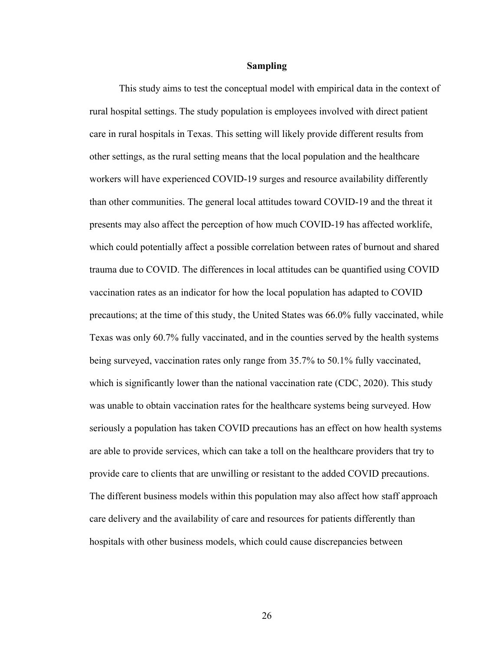#### **Sampling**

This study aims to test the conceptual model with empirical data in the context of rural hospital settings. The study population is employees involved with direct patient care in rural hospitals in Texas. This setting will likely provide different results from other settings, as the rural setting means that the local population and the healthcare workers will have experienced COVID-19 surges and resource availability differently than other communities. The general local attitudes toward COVID-19 and the threat it presents may also affect the perception of how much COVID-19 has affected worklife, which could potentially affect a possible correlation between rates of burnout and shared trauma due to COVID. The differences in local attitudes can be quantified using COVID vaccination rates as an indicator for how the local population has adapted to COVID precautions; at the time of this study, the United States was 66.0% fully vaccinated, while Texas was only 60.7% fully vaccinated, and in the counties served by the health systems being surveyed, vaccination rates only range from 35.7% to 50.1% fully vaccinated, which is significantly lower than the national vaccination rate (CDC, 2020). This study was unable to obtain vaccination rates for the healthcare systems being surveyed. How seriously a population has taken COVID precautions has an effect on how health systems are able to provide services, which can take a toll on the healthcare providers that try to provide care to clients that are unwilling or resistant to the added COVID precautions. The different business models within this population may also affect how staff approach care delivery and the availability of care and resources for patients differently than hospitals with other business models, which could cause discrepancies between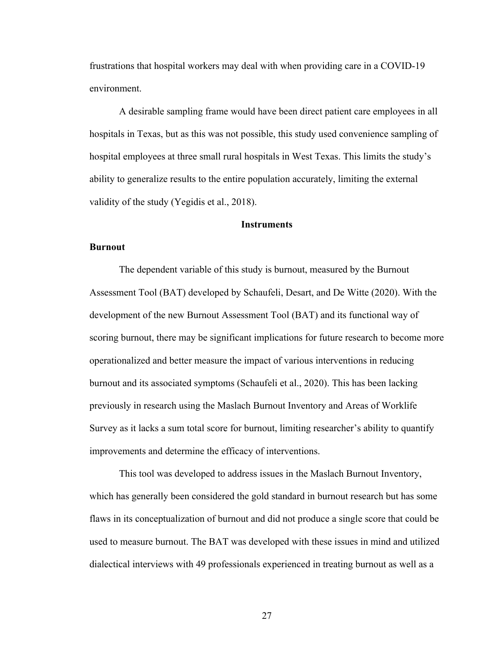frustrations that hospital workers may deal with when providing care in a COVID-19 environment.

A desirable sampling frame would have been direct patient care employees in all hospitals in Texas, but as this was not possible, this study used convenience sampling of hospital employees at three small rural hospitals in West Texas. This limits the study's ability to generalize results to the entire population accurately, limiting the external validity of the study (Yegidis et al., 2018).

### **Instruments**

#### **Burnout**

The dependent variable of this study is burnout, measured by the Burnout Assessment Tool (BAT) developed by Schaufeli, Desart, and De Witte (2020). With the development of the new Burnout Assessment Tool (BAT) and its functional way of scoring burnout, there may be significant implications for future research to become more operationalized and better measure the impact of various interventions in reducing burnout and its associated symptoms (Schaufeli et al., 2020). This has been lacking previously in research using the Maslach Burnout Inventory and Areas of Worklife Survey as it lacks a sum total score for burnout, limiting researcher's ability to quantify improvements and determine the efficacy of interventions.

This tool was developed to address issues in the Maslach Burnout Inventory, which has generally been considered the gold standard in burnout research but has some flaws in its conceptualization of burnout and did not produce a single score that could be used to measure burnout. The BAT was developed with these issues in mind and utilized dialectical interviews with 49 professionals experienced in treating burnout as well as a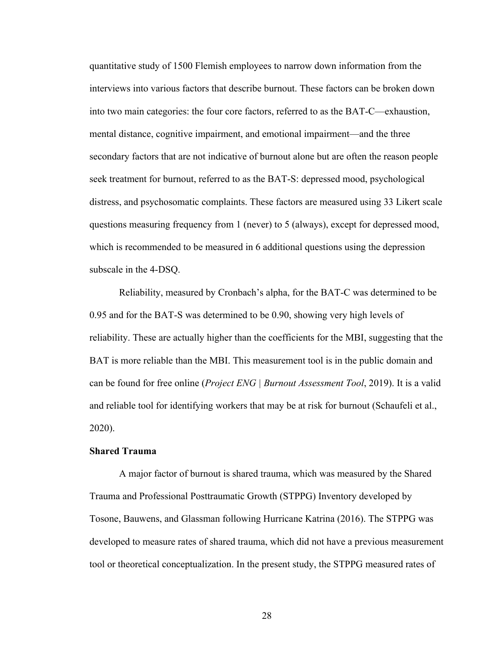quantitative study of 1500 Flemish employees to narrow down information from the interviews into various factors that describe burnout. These factors can be broken down into two main categories: the four core factors, referred to as the BAT-C—exhaustion, mental distance, cognitive impairment, and emotional impairment—and the three secondary factors that are not indicative of burnout alone but are often the reason people seek treatment for burnout, referred to as the BAT-S: depressed mood, psychological distress, and psychosomatic complaints. These factors are measured using 33 Likert scale questions measuring frequency from 1 (never) to 5 (always), except for depressed mood, which is recommended to be measured in 6 additional questions using the depression subscale in the 4-DSQ.

Reliability, measured by Cronbach's alpha, for the BAT-C was determined to be 0.95 and for the BAT-S was determined to be 0.90, showing very high levels of reliability. These are actually higher than the coefficients for the MBI, suggesting that the BAT is more reliable than the MBI. This measurement tool is in the public domain and can be found for free online (*Project ENG | Burnout Assessment Tool*, 2019). It is a valid and reliable tool for identifying workers that may be at risk for burnout (Schaufeli et al., 2020).

## **Shared Trauma**

A major factor of burnout is shared trauma, which was measured by the Shared Trauma and Professional Posttraumatic Growth (STPPG) Inventory developed by Tosone, Bauwens, and Glassman following Hurricane Katrina (2016). The STPPG was developed to measure rates of shared trauma, which did not have a previous measurement tool or theoretical conceptualization. In the present study, the STPPG measured rates of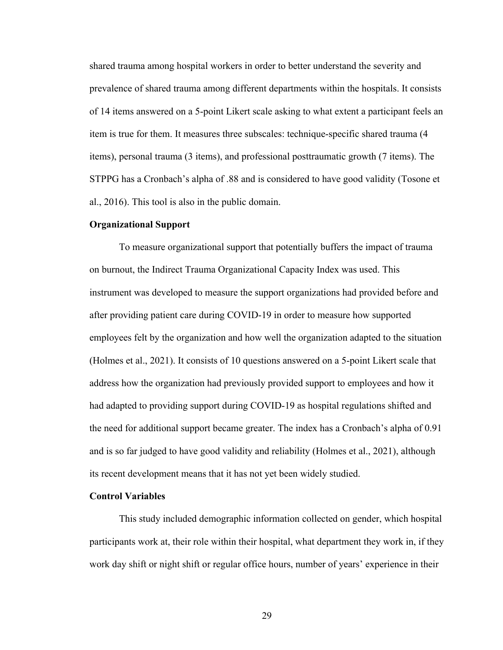shared trauma among hospital workers in order to better understand the severity and prevalence of shared trauma among different departments within the hospitals. It consists of 14 items answered on a 5-point Likert scale asking to what extent a participant feels an item is true for them. It measures three subscales: technique-specific shared trauma (4 items), personal trauma (3 items), and professional posttraumatic growth (7 items). The STPPG has a Cronbach's alpha of .88 and is considered to have good validity (Tosone et al., 2016). This tool is also in the public domain.

#### **Organizational Support**

To measure organizational support that potentially buffers the impact of trauma on burnout, the Indirect Trauma Organizational Capacity Index was used. This instrument was developed to measure the support organizations had provided before and after providing patient care during COVID-19 in order to measure how supported employees felt by the organization and how well the organization adapted to the situation (Holmes et al., 2021). It consists of 10 questions answered on a 5-point Likert scale that address how the organization had previously provided support to employees and how it had adapted to providing support during COVID-19 as hospital regulations shifted and the need for additional support became greater. The index has a Cronbach's alpha of 0.91 and is so far judged to have good validity and reliability (Holmes et al., 2021), although its recent development means that it has not yet been widely studied.

#### **Control Variables**

This study included demographic information collected on gender, which hospital participants work at, their role within their hospital, what department they work in, if they work day shift or night shift or regular office hours, number of years' experience in their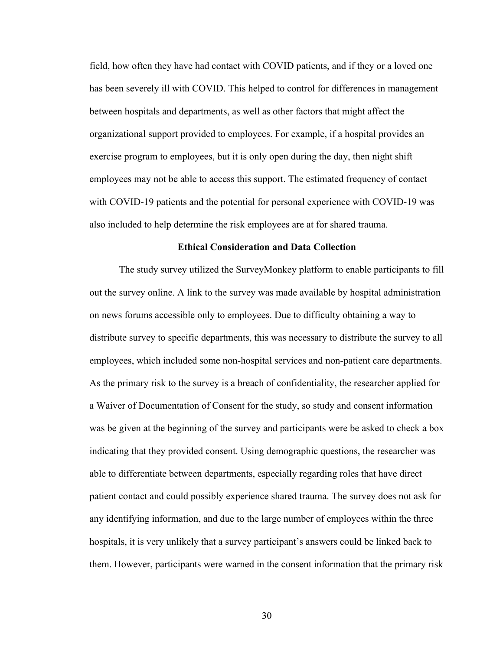field, how often they have had contact with COVID patients, and if they or a loved one has been severely ill with COVID. This helped to control for differences in management between hospitals and departments, as well as other factors that might affect the organizational support provided to employees. For example, if a hospital provides an exercise program to employees, but it is only open during the day, then night shift employees may not be able to access this support. The estimated frequency of contact with COVID-19 patients and the potential for personal experience with COVID-19 was also included to help determine the risk employees are at for shared trauma.

#### **Ethical Consideration and Data Collection**

The study survey utilized the SurveyMonkey platform to enable participants to fill out the survey online. A link to the survey was made available by hospital administration on news forums accessible only to employees. Due to difficulty obtaining a way to distribute survey to specific departments, this was necessary to distribute the survey to all employees, which included some non-hospital services and non-patient care departments. As the primary risk to the survey is a breach of confidentiality, the researcher applied for a Waiver of Documentation of Consent for the study, so study and consent information was be given at the beginning of the survey and participants were be asked to check a box indicating that they provided consent. Using demographic questions, the researcher was able to differentiate between departments, especially regarding roles that have direct patient contact and could possibly experience shared trauma. The survey does not ask for any identifying information, and due to the large number of employees within the three hospitals, it is very unlikely that a survey participant's answers could be linked back to them. However, participants were warned in the consent information that the primary risk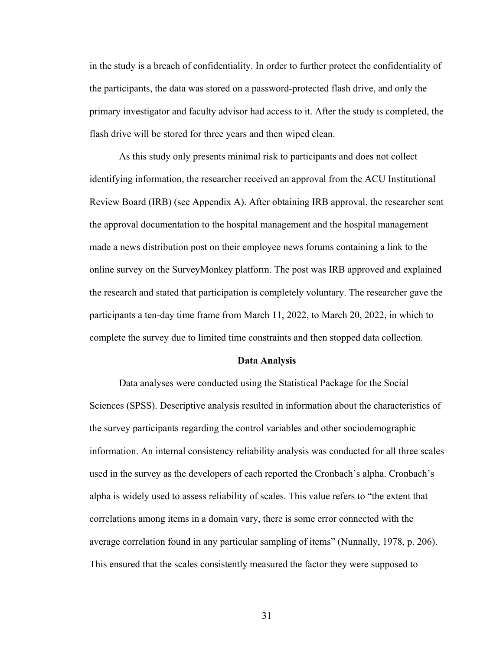in the study is a breach of confidentiality. In order to further protect the confidentiality of the participants, the data was stored on a password-protected flash drive, and only the primary investigator and faculty advisor had access to it. After the study is completed, the flash drive will be stored for three years and then wiped clean.

As this study only presents minimal risk to participants and does not collect identifying information, the researcher received an approval from the ACU Institutional Review Board (IRB) (see Appendix A). After obtaining IRB approval, the researcher sent the approval documentation to the hospital management and the hospital management made a news distribution post on their employee news forums containing a link to the online survey on the SurveyMonkey platform. The post was IRB approved and explained the research and stated that participation is completely voluntary. The researcher gave the participants a ten-day time frame from March 11, 2022, to March 20, 2022, in which to complete the survey due to limited time constraints and then stopped data collection.

#### **Data Analysis**

Data analyses were conducted using the Statistical Package for the Social Sciences (SPSS). Descriptive analysis resulted in information about the characteristics of the survey participants regarding the control variables and other sociodemographic information. An internal consistency reliability analysis was conducted for all three scales used in the survey as the developers of each reported the Cronbach's alpha. Cronbach's alpha is widely used to assess reliability of scales. This value refers to "the extent that correlations among items in a domain vary, there is some error connected with the average correlation found in any particular sampling of items" (Nunnally, 1978, p. 206). This ensured that the scales consistently measured the factor they were supposed to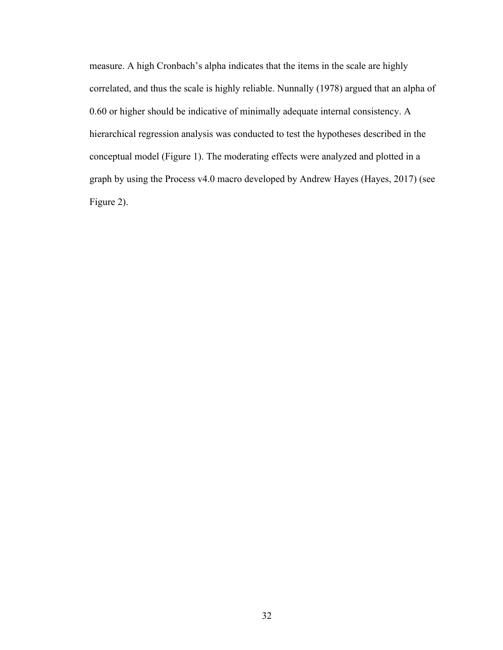measure. A high Cronbach's alpha indicates that the items in the scale are highly correlated, and thus the scale is highly reliable. Nunnally (1978) argued that an alpha of 0.60 or higher should be indicative of minimally adequate internal consistency. A hierarchical regression analysis was conducted to test the hypotheses described in the conceptual model (Figure 1). The moderating effects were analyzed and plotted in a graph by using the Process v4.0 macro developed by Andrew Hayes (Hayes, 2017) (see Figure 2).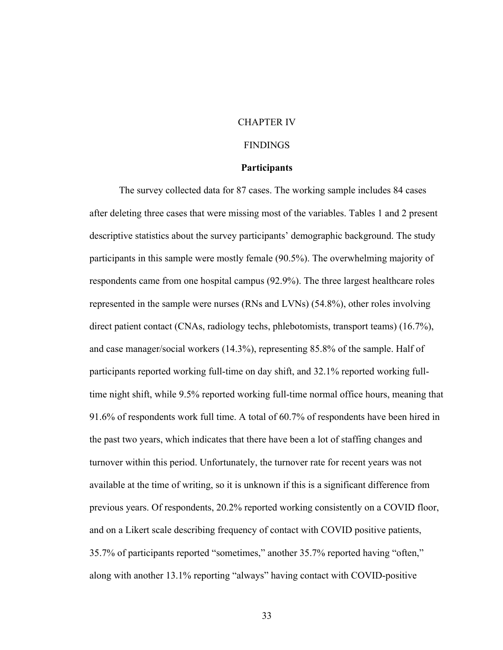## CHAPTER IV

#### FINDINGS

#### **Participants**

The survey collected data for 87 cases. The working sample includes 84 cases after deleting three cases that were missing most of the variables. Tables 1 and 2 present descriptive statistics about the survey participants' demographic background. The study participants in this sample were mostly female (90.5%). The overwhelming majority of respondents came from one hospital campus (92.9%). The three largest healthcare roles represented in the sample were nurses (RNs and LVNs) (54.8%), other roles involving direct patient contact (CNAs, radiology techs, phlebotomists, transport teams) (16.7%), and case manager/social workers (14.3%), representing 85.8% of the sample. Half of participants reported working full-time on day shift, and 32.1% reported working fulltime night shift, while 9.5% reported working full-time normal office hours, meaning that 91.6% of respondents work full time. A total of 60.7% of respondents have been hired in the past two years, which indicates that there have been a lot of staffing changes and turnover within this period. Unfortunately, the turnover rate for recent years was not available at the time of writing, so it is unknown if this is a significant difference from previous years. Of respondents, 20.2% reported working consistently on a COVID floor, and on a Likert scale describing frequency of contact with COVID positive patients, 35.7% of participants reported "sometimes," another 35.7% reported having "often," along with another 13.1% reporting "always" having contact with COVID-positive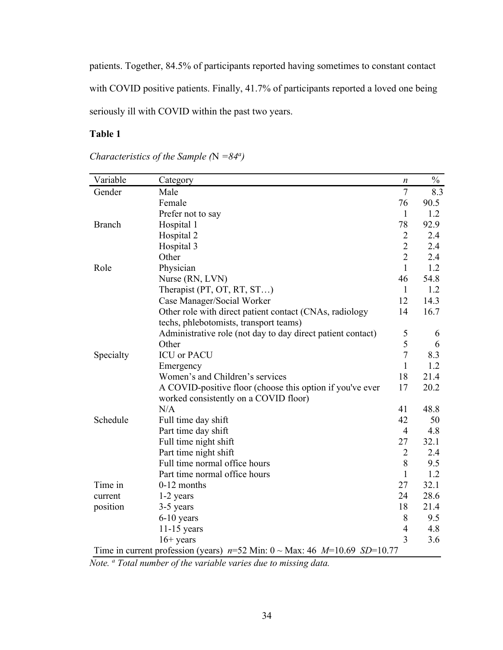patients. Together, 84.5% of participants reported having sometimes to constant contact with COVID positive patients. Finally, 41.7% of participants reported a loved one being seriously ill with COVID within the past two years.

# **Table 1**

| Variable      | Category                                                                                   | n              | $\%$ |
|---------------|--------------------------------------------------------------------------------------------|----------------|------|
| Gender        | Male                                                                                       | $\tau$         | 8.3  |
|               | Female                                                                                     | 76             | 90.5 |
|               | Prefer not to say                                                                          | 1              | 1.2  |
| <b>Branch</b> | Hospital 1                                                                                 | 78             | 92.9 |
|               | Hospital 2                                                                                 | $\overline{2}$ | 2.4  |
|               | Hospital 3                                                                                 | $\overline{2}$ | 2.4  |
|               | Other                                                                                      | $\overline{2}$ | 2.4  |
| Role          | Physician                                                                                  | $\mathbf{1}$   | 1.2  |
|               | Nurse (RN, LVN)                                                                            | 46             | 54.8 |
|               | Therapist (PT, OT, RT, ST)                                                                 | $\mathbf{1}$   | 1.2  |
|               | Case Manager/Social Worker                                                                 | 12             | 14.3 |
|               | Other role with direct patient contact (CNAs, radiology                                    | 14             | 16.7 |
|               | techs, phlebotomists, transport teams)                                                     |                |      |
|               | Administrative role (not day to day direct patient contact)                                | $\mathfrak{S}$ | 6    |
|               | Other                                                                                      | 5              | 6    |
| Specialty     | <b>ICU</b> or PACU                                                                         | $\overline{7}$ | 8.3  |
|               | Emergency                                                                                  | $\mathbf{1}$   | 1.2  |
|               | Women's and Children's services                                                            | 18             | 21.4 |
|               | A COVID-positive floor (choose this option if you've ever                                  | 17             | 20.2 |
|               | worked consistently on a COVID floor)                                                      |                |      |
|               | N/A                                                                                        | 41             | 48.8 |
| Schedule      | Full time day shift                                                                        | 42             | 50   |
|               | Part time day shift                                                                        | $\overline{4}$ | 4.8  |
|               | Full time night shift                                                                      | 27             | 32.1 |
|               | Part time night shift                                                                      | $\overline{2}$ | 2.4  |
|               | Full time normal office hours                                                              | 8              | 9.5  |
|               | Part time normal office hours                                                              | $\mathbf{1}$   | 1.2  |
| Time in       | 0-12 months                                                                                | 27             | 32.1 |
| current       | 1-2 years                                                                                  | 24             | 28.6 |
| position      | 3-5 years                                                                                  | 18             | 21.4 |
|               | $6-10$ years                                                                               | 8              | 9.5  |
|               | $11-15$ years                                                                              | $\overline{4}$ | 4.8  |
|               | $16+$ years                                                                                | 3              | 3.6  |
|               | Time in current profession (years) $n=52$ Min: $0 \sim \text{Max: } 46$ $M=10.69$ SD=10.77 |                |      |

*Characteristics of the Sample (*N *=84a )*

*Note. a Total number of the variable varies due to missing data.*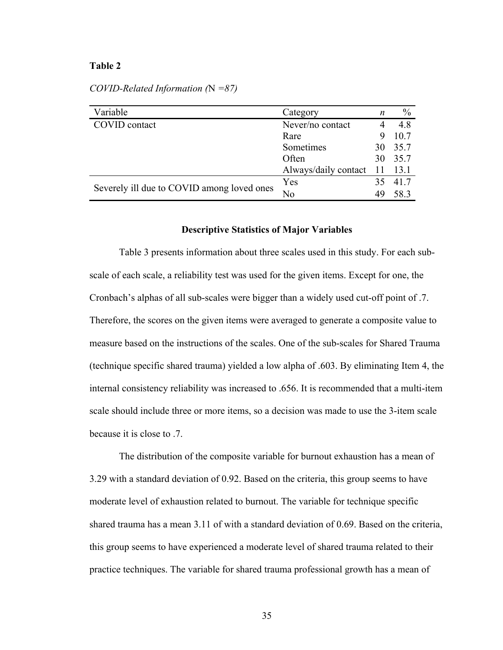#### **Table 2**

| Variable                                   | Category             | n   | $\%$    |
|--------------------------------------------|----------------------|-----|---------|
| COVID contact                              | Never/no contact     |     | 4.8     |
|                                            | Rare                 |     |         |
| Sometimes                                  |                      | 30  | 35.7    |
|                                            | Often                |     | 30 35.7 |
|                                            | Always/daily contact | -11 | 13.1    |
| Severely ill due to COVID among loved ones | Yes                  | 35  | 41.7    |
|                                            | No<br>49             |     | 58.3    |

*COVID-Related Information (*N *=87)*

#### **Descriptive Statistics of Major Variables**

Table 3 presents information about three scales used in this study. For each subscale of each scale, a reliability test was used for the given items. Except for one, the Cronbach's alphas of all sub-scales were bigger than a widely used cut-off point of .7. Therefore, the scores on the given items were averaged to generate a composite value to measure based on the instructions of the scales. One of the sub-scales for Shared Trauma (technique specific shared trauma) yielded a low alpha of .603. By eliminating Item 4, the internal consistency reliability was increased to .656. It is recommended that a multi-item scale should include three or more items, so a decision was made to use the 3-item scale because it is close to .7.

The distribution of the composite variable for burnout exhaustion has a mean of 3.29 with a standard deviation of 0.92. Based on the criteria, this group seems to have moderate level of exhaustion related to burnout. The variable for technique specific shared trauma has a mean 3.11 of with a standard deviation of 0.69. Based on the criteria, this group seems to have experienced a moderate level of shared trauma related to their practice techniques. The variable for shared trauma professional growth has a mean of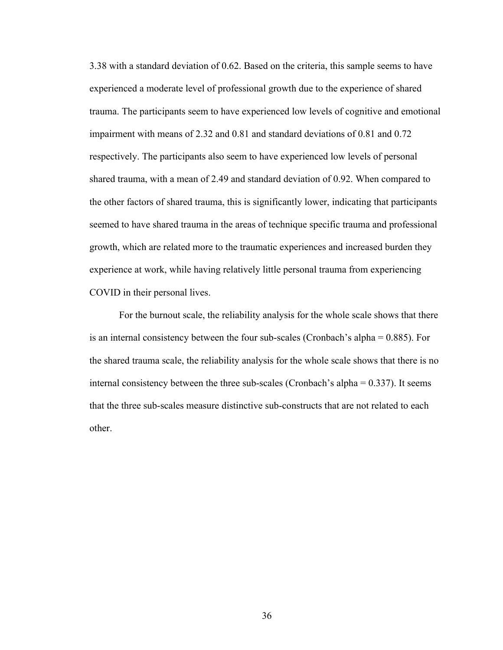3.38 with a standard deviation of 0.62. Based on the criteria, this sample seems to have experienced a moderate level of professional growth due to the experience of shared trauma. The participants seem to have experienced low levels of cognitive and emotional impairment with means of 2.32 and 0.81 and standard deviations of 0.81 and 0.72 respectively. The participants also seem to have experienced low levels of personal shared trauma, with a mean of 2.49 and standard deviation of 0.92. When compared to the other factors of shared trauma, this is significantly lower, indicating that participants seemed to have shared trauma in the areas of technique specific trauma and professional growth, which are related more to the traumatic experiences and increased burden they experience at work, while having relatively little personal trauma from experiencing COVID in their personal lives.

For the burnout scale, the reliability analysis for the whole scale shows that there is an internal consistency between the four sub-scales (Cronbach's alpha = 0.885). For the shared trauma scale, the reliability analysis for the whole scale shows that there is no internal consistency between the three sub-scales (Cronbach's alpha = 0.337). It seems that the three sub-scales measure distinctive sub-constructs that are not related to each other.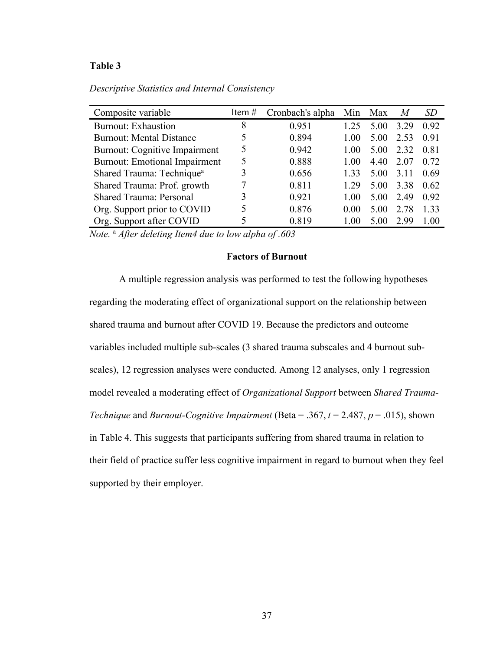## **Table 3**

| Composite variable                    | Item $#$ | Cronbach's alpha |      | Min Max | M    | SD   |
|---------------------------------------|----------|------------------|------|---------|------|------|
| <b>Burnout: Exhaustion</b>            | 8        | 0.951            | 1 25 | 5.00    | 3.29 | 0.92 |
| <b>Burnout: Mental Distance</b>       |          | 0.894            | 1.00 | 5.00    | 2.53 | 0.91 |
| <b>Burnout: Cognitive Impairment</b>  | 5        | 0.942            | 1.00 | 5.00    | 2.32 | 0.81 |
| <b>Burnout: Emotional Impairment</b>  | 5        | 0.888            | 1.00 | 4.40    | 2.07 | 0.72 |
| Shared Trauma: Technique <sup>a</sup> | 3        | 0.656            | 1.33 | 5.00    | 3.11 | 0.69 |
| Shared Trauma: Prof. growth           |          | 0.811            | 1.29 | 5.00    | 3.38 | 0.62 |
| <b>Shared Trauma: Personal</b>        | 3        | 0.921            | 1.00 | 5.00    | 2.49 | 0.92 |
| Org. Support prior to COVID           | 5        | 0.876            | 0.00 | 5.00    | 2.78 | 1.33 |
| Org. Support after COVID              |          | 0.819            | 1.00 | 5.00    | 2.99 | 1.00 |

*Descriptive Statistics and Internal Consistency*

*Note.* <sup>a</sup> *After deleting Item4 due to low alpha of .603*

#### **Factors of Burnout**

A multiple regression analysis was performed to test the following hypotheses regarding the moderating effect of organizational support on the relationship between shared trauma and burnout after COVID 19. Because the predictors and outcome variables included multiple sub-scales (3 shared trauma subscales and 4 burnout subscales), 12 regression analyses were conducted. Among 12 analyses, only 1 regression model revealed a moderating effect of *Organizational Support* between *Shared Trauma-Technique* and *Burnout-Cognitive Impairment* (Beta = .367, *t* = 2.487, *p* = .015), shown in Table 4. This suggests that participants suffering from shared trauma in relation to their field of practice suffer less cognitive impairment in regard to burnout when they feel supported by their employer.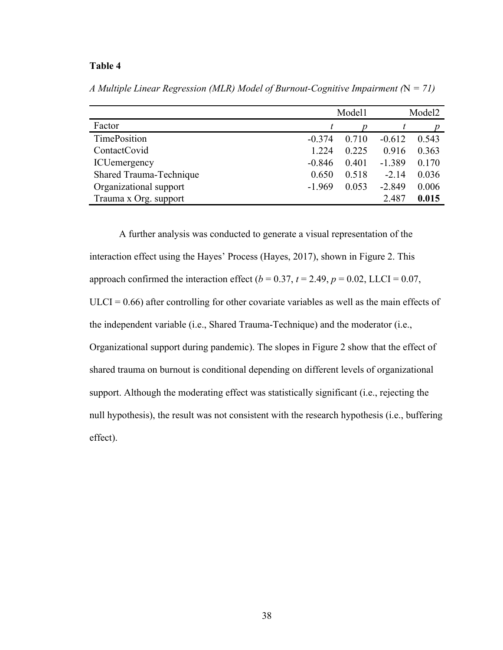## **Table 4**

|                         |          | Model1 |          | Model <sub>2</sub> |
|-------------------------|----------|--------|----------|--------------------|
| Factor                  |          |        |          |                    |
| TimePosition            | $-0.374$ | 0.710  | $-0.612$ | 0.543              |
| ContactCovid            | 1.224    | 0.225  | 0.916    | 0.363              |
| <b>ICU</b> emergency    | $-0.846$ | 0.401  | $-1.389$ | 0.170              |
| Shared Trauma-Technique | 0.650    | 0.518  | $-2.14$  | 0.036              |
| Organizational support  | $-1.969$ | 0.053  | $-2.849$ | 0.006              |
| Trauma x Org. support   |          |        | 2.487    | 0.015              |

*A Multiple Linear Regression (MLR) Model of Burnout-Cognitive Impairment (*N *= 71)*

A further analysis was conducted to generate a visual representation of the interaction effect using the Hayes' Process (Hayes, 2017), shown in Figure 2. This approach confirmed the interaction effect  $(b = 0.37, t = 2.49, p = 0.02, LLCI = 0.07,$  $ULCI = 0.66$ ) after controlling for other covariate variables as well as the main effects of the independent variable (i.e., Shared Trauma-Technique) and the moderator (i.e., Organizational support during pandemic). The slopes in Figure 2 show that the effect of shared trauma on burnout is conditional depending on different levels of organizational support. Although the moderating effect was statistically significant (i.e., rejecting the null hypothesis), the result was not consistent with the research hypothesis (i.e., buffering effect).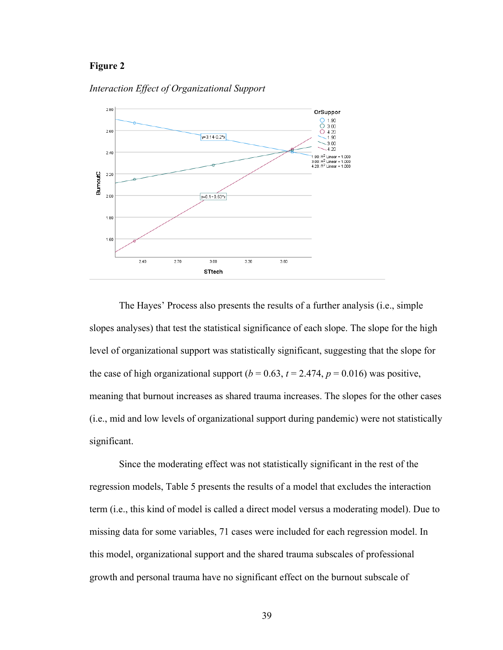## **Figure 2**



*Interaction Effect of Organizational Support* 

The Hayes' Process also presents the results of a further analysis (i.e., simple slopes analyses) that test the statistical significance of each slope. The slope for the high level of organizational support was statistically significant, suggesting that the slope for the case of high organizational support  $(b = 0.63, t = 2.474, p = 0.016)$  was positive, meaning that burnout increases as shared trauma increases. The slopes for the other cases (i.e., mid and low levels of organizational support during pandemic) were not statistically significant.

Since the moderating effect was not statistically significant in the rest of the regression models, Table 5 presents the results of a model that excludes the interaction term (i.e., this kind of model is called a direct model versus a moderating model). Due to missing data for some variables, 71 cases were included for each regression model. In this model, organizational support and the shared trauma subscales of professional growth and personal trauma have no significant effect on the burnout subscale of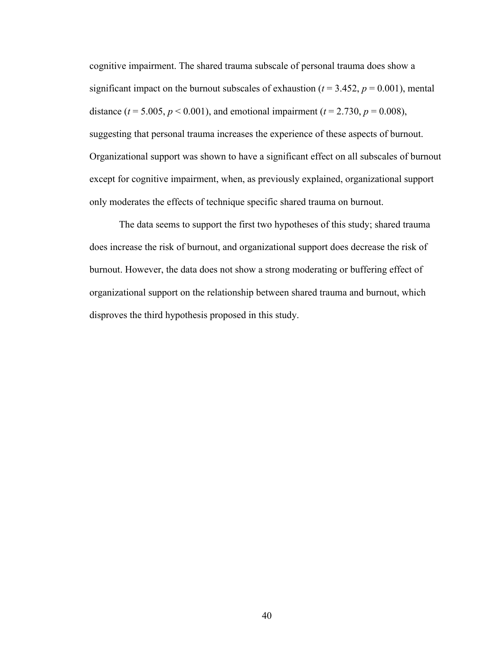cognitive impairment. The shared trauma subscale of personal trauma does show a significant impact on the burnout subscales of exhaustion ( $t = 3.452$ ,  $p = 0.001$ ), mental distance ( $t = 5.005$ ,  $p < 0.001$ ), and emotional impairment ( $t = 2.730$ ,  $p = 0.008$ ), suggesting that personal trauma increases the experience of these aspects of burnout. Organizational support was shown to have a significant effect on all subscales of burnout except for cognitive impairment, when, as previously explained, organizational support only moderates the effects of technique specific shared trauma on burnout.

The data seems to support the first two hypotheses of this study; shared trauma does increase the risk of burnout, and organizational support does decrease the risk of burnout. However, the data does not show a strong moderating or buffering effect of organizational support on the relationship between shared trauma and burnout, which disproves the third hypothesis proposed in this study.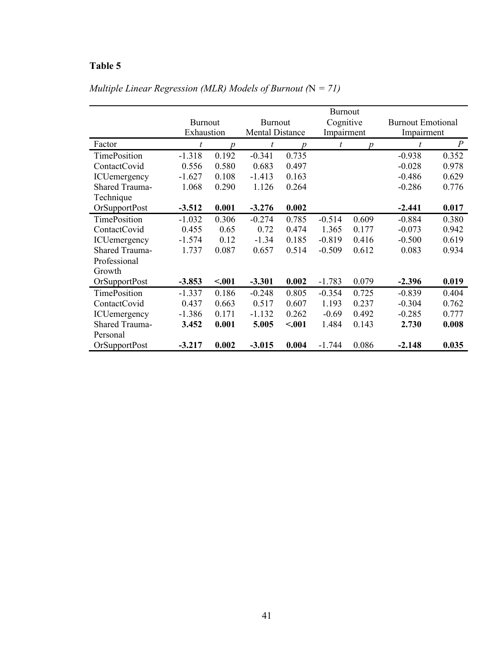# **Table 5**

|                      | <b>Burnout</b> |                  |                        |                  |            |                  |                          |                |
|----------------------|----------------|------------------|------------------------|------------------|------------|------------------|--------------------------|----------------|
|                      | <b>Burnout</b> |                  | <b>Burnout</b>         |                  | Cognitive  |                  | <b>Burnout Emotional</b> |                |
|                      | Exhaustion     |                  | <b>Mental Distance</b> |                  | Impairment |                  | Impairment               |                |
| Factor               | t              | $\boldsymbol{p}$ | t                      | $\boldsymbol{p}$ | t          | $\boldsymbol{D}$ | $\boldsymbol{t}$         | $\overline{P}$ |
| <b>TimePosition</b>  | $-1.318$       | 0.192            | $-0.341$               | 0.735            |            |                  | $-0.938$                 | 0.352          |
| ContactCovid         | 0.556          | 0.580            | 0.683                  | 0.497            |            |                  | $-0.028$                 | 0.978          |
| ICUemergency         | $-1.627$       | 0.108            | $-1.413$               | 0.163            |            |                  | $-0.486$                 | 0.629          |
| Shared Trauma-       | 1.068          | 0.290            | 1.126                  | 0.264            |            |                  | $-0.286$                 | 0.776          |
| Technique            |                |                  |                        |                  |            |                  |                          |                |
| <b>OrSupportPost</b> | $-3.512$       | 0.001            | $-3.276$               | 0.002            |            |                  | $-2.441$                 | 0.017          |
| <b>TimePosition</b>  | $-1.032$       | 0.306            | $-0.274$               | 0.785            | $-0.514$   | 0.609            | $-0.884$                 | 0.380          |
| ContactCovid         | 0.455          | 0.65             | 0.72                   | 0.474            | 1.365      | 0.177            | $-0.073$                 | 0.942          |
| ICUemergency         | $-1.574$       | 0.12             | $-1.34$                | 0.185            | $-0.819$   | 0.416            | $-0.500$                 | 0.619          |
| Shared Trauma-       | 1.737          | 0.087            | 0.657                  | 0.514            | $-0.509$   | 0.612            | 0.083                    | 0.934          |
| Professional         |                |                  |                        |                  |            |                  |                          |                |
| Growth               |                |                  |                        |                  |            |                  |                          |                |
| OrSupportPost        | $-3.853$       | < .001           | $-3.301$               | 0.002            | $-1.783$   | 0.079            | $-2.396$                 | 0.019          |
| TimePosition         | $-1.337$       | 0.186            | $-0.248$               | 0.805            | $-0.354$   | 0.725            | $-0.839$                 | 0.404          |
| ContactCovid         | 0.437          | 0.663            | 0.517                  | 0.607            | 1.193      | 0.237            | $-0.304$                 | 0.762          |
| <b>ICU</b> emergency | $-1.386$       | 0.171            | $-1.132$               | 0.262            | $-0.69$    | 0.492            | $-0.285$                 | 0.777          |
| Shared Trauma-       | 3.452          | 0.001            | 5.005                  | < .001           | 1.484      | 0.143            | 2.730                    | 0.008          |
| Personal             |                |                  |                        |                  |            |                  |                          |                |
| <b>OrSupportPost</b> | $-3.217$       | 0.002            | $-3.015$               | 0.004            | $-1.744$   | 0.086            | $-2.148$                 | 0.035          |

# *Multiple Linear Regression (MLR) Models of Burnout (*N *= 71)*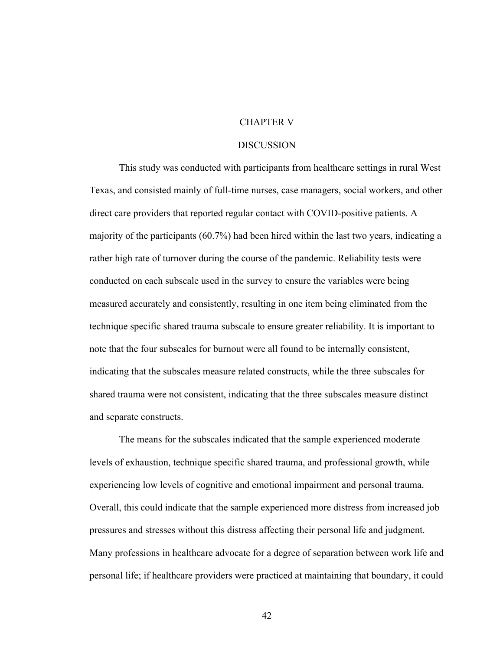## CHAPTER V

#### DISCUSSION

This study was conducted with participants from healthcare settings in rural West Texas, and consisted mainly of full-time nurses, case managers, social workers, and other direct care providers that reported regular contact with COVID-positive patients. A majority of the participants (60.7%) had been hired within the last two years, indicating a rather high rate of turnover during the course of the pandemic. Reliability tests were conducted on each subscale used in the survey to ensure the variables were being measured accurately and consistently, resulting in one item being eliminated from the technique specific shared trauma subscale to ensure greater reliability. It is important to note that the four subscales for burnout were all found to be internally consistent, indicating that the subscales measure related constructs, while the three subscales for shared trauma were not consistent, indicating that the three subscales measure distinct and separate constructs.

The means for the subscales indicated that the sample experienced moderate levels of exhaustion, technique specific shared trauma, and professional growth, while experiencing low levels of cognitive and emotional impairment and personal trauma. Overall, this could indicate that the sample experienced more distress from increased job pressures and stresses without this distress affecting their personal life and judgment. Many professions in healthcare advocate for a degree of separation between work life and personal life; if healthcare providers were practiced at maintaining that boundary, it could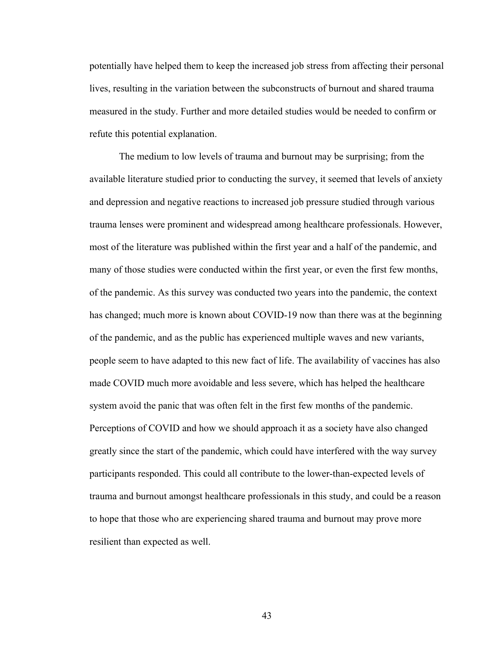potentially have helped them to keep the increased job stress from affecting their personal lives, resulting in the variation between the subconstructs of burnout and shared trauma measured in the study. Further and more detailed studies would be needed to confirm or refute this potential explanation.

The medium to low levels of trauma and burnout may be surprising; from the available literature studied prior to conducting the survey, it seemed that levels of anxiety and depression and negative reactions to increased job pressure studied through various trauma lenses were prominent and widespread among healthcare professionals. However, most of the literature was published within the first year and a half of the pandemic, and many of those studies were conducted within the first year, or even the first few months, of the pandemic. As this survey was conducted two years into the pandemic, the context has changed; much more is known about COVID-19 now than there was at the beginning of the pandemic, and as the public has experienced multiple waves and new variants, people seem to have adapted to this new fact of life. The availability of vaccines has also made COVID much more avoidable and less severe, which has helped the healthcare system avoid the panic that was often felt in the first few months of the pandemic. Perceptions of COVID and how we should approach it as a society have also changed greatly since the start of the pandemic, which could have interfered with the way survey participants responded. This could all contribute to the lower-than-expected levels of trauma and burnout amongst healthcare professionals in this study, and could be a reason to hope that those who are experiencing shared trauma and burnout may prove more resilient than expected as well.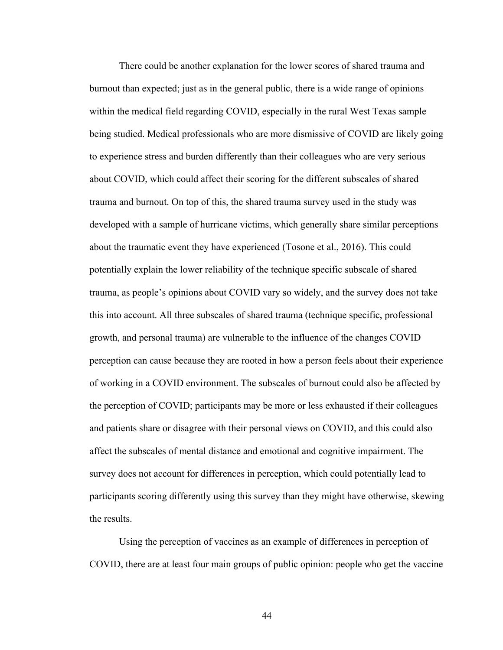There could be another explanation for the lower scores of shared trauma and burnout than expected; just as in the general public, there is a wide range of opinions within the medical field regarding COVID, especially in the rural West Texas sample being studied. Medical professionals who are more dismissive of COVID are likely going to experience stress and burden differently than their colleagues who are very serious about COVID, which could affect their scoring for the different subscales of shared trauma and burnout. On top of this, the shared trauma survey used in the study was developed with a sample of hurricane victims, which generally share similar perceptions about the traumatic event they have experienced (Tosone et al., 2016). This could potentially explain the lower reliability of the technique specific subscale of shared trauma, as people's opinions about COVID vary so widely, and the survey does not take this into account. All three subscales of shared trauma (technique specific, professional growth, and personal trauma) are vulnerable to the influence of the changes COVID perception can cause because they are rooted in how a person feels about their experience of working in a COVID environment. The subscales of burnout could also be affected by the perception of COVID; participants may be more or less exhausted if their colleagues and patients share or disagree with their personal views on COVID, and this could also affect the subscales of mental distance and emotional and cognitive impairment. The survey does not account for differences in perception, which could potentially lead to participants scoring differently using this survey than they might have otherwise, skewing the results.

Using the perception of vaccines as an example of differences in perception of COVID, there are at least four main groups of public opinion: people who get the vaccine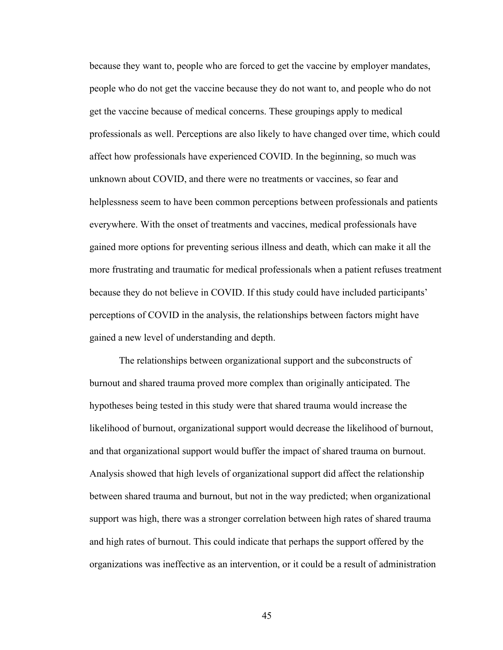because they want to, people who are forced to get the vaccine by employer mandates, people who do not get the vaccine because they do not want to, and people who do not get the vaccine because of medical concerns. These groupings apply to medical professionals as well. Perceptions are also likely to have changed over time, which could affect how professionals have experienced COVID. In the beginning, so much was unknown about COVID, and there were no treatments or vaccines, so fear and helplessness seem to have been common perceptions between professionals and patients everywhere. With the onset of treatments and vaccines, medical professionals have gained more options for preventing serious illness and death, which can make it all the more frustrating and traumatic for medical professionals when a patient refuses treatment because they do not believe in COVID. If this study could have included participants' perceptions of COVID in the analysis, the relationships between factors might have gained a new level of understanding and depth.

The relationships between organizational support and the subconstructs of burnout and shared trauma proved more complex than originally anticipated. The hypotheses being tested in this study were that shared trauma would increase the likelihood of burnout, organizational support would decrease the likelihood of burnout, and that organizational support would buffer the impact of shared trauma on burnout. Analysis showed that high levels of organizational support did affect the relationship between shared trauma and burnout, but not in the way predicted; when organizational support was high, there was a stronger correlation between high rates of shared trauma and high rates of burnout. This could indicate that perhaps the support offered by the organizations was ineffective as an intervention, or it could be a result of administration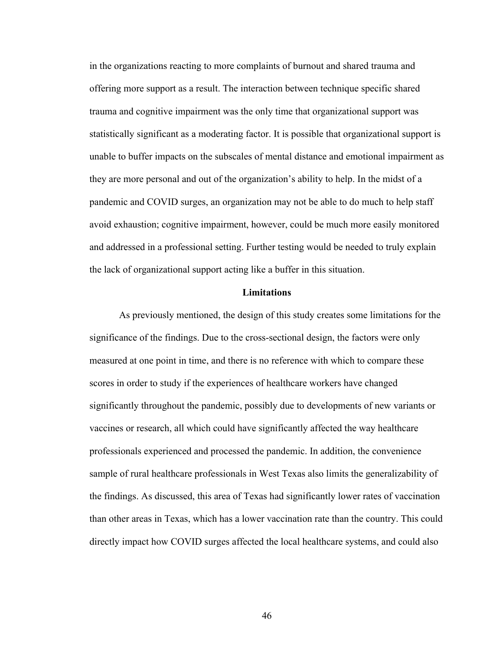in the organizations reacting to more complaints of burnout and shared trauma and offering more support as a result. The interaction between technique specific shared trauma and cognitive impairment was the only time that organizational support was statistically significant as a moderating factor. It is possible that organizational support is unable to buffer impacts on the subscales of mental distance and emotional impairment as they are more personal and out of the organization's ability to help. In the midst of a pandemic and COVID surges, an organization may not be able to do much to help staff avoid exhaustion; cognitive impairment, however, could be much more easily monitored and addressed in a professional setting. Further testing would be needed to truly explain the lack of organizational support acting like a buffer in this situation.

#### **Limitations**

As previously mentioned, the design of this study creates some limitations for the significance of the findings. Due to the cross-sectional design, the factors were only measured at one point in time, and there is no reference with which to compare these scores in order to study if the experiences of healthcare workers have changed significantly throughout the pandemic, possibly due to developments of new variants or vaccines or research, all which could have significantly affected the way healthcare professionals experienced and processed the pandemic. In addition, the convenience sample of rural healthcare professionals in West Texas also limits the generalizability of the findings. As discussed, this area of Texas had significantly lower rates of vaccination than other areas in Texas, which has a lower vaccination rate than the country. This could directly impact how COVID surges affected the local healthcare systems, and could also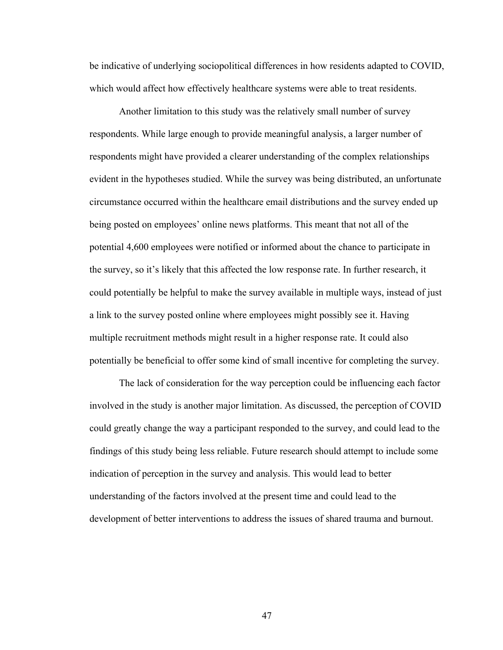be indicative of underlying sociopolitical differences in how residents adapted to COVID, which would affect how effectively healthcare systems were able to treat residents.

Another limitation to this study was the relatively small number of survey respondents. While large enough to provide meaningful analysis, a larger number of respondents might have provided a clearer understanding of the complex relationships evident in the hypotheses studied. While the survey was being distributed, an unfortunate circumstance occurred within the healthcare email distributions and the survey ended up being posted on employees' online news platforms. This meant that not all of the potential 4,600 employees were notified or informed about the chance to participate in the survey, so it's likely that this affected the low response rate. In further research, it could potentially be helpful to make the survey available in multiple ways, instead of just a link to the survey posted online where employees might possibly see it. Having multiple recruitment methods might result in a higher response rate. It could also potentially be beneficial to offer some kind of small incentive for completing the survey.

The lack of consideration for the way perception could be influencing each factor involved in the study is another major limitation. As discussed, the perception of COVID could greatly change the way a participant responded to the survey, and could lead to the findings of this study being less reliable. Future research should attempt to include some indication of perception in the survey and analysis. This would lead to better understanding of the factors involved at the present time and could lead to the development of better interventions to address the issues of shared trauma and burnout.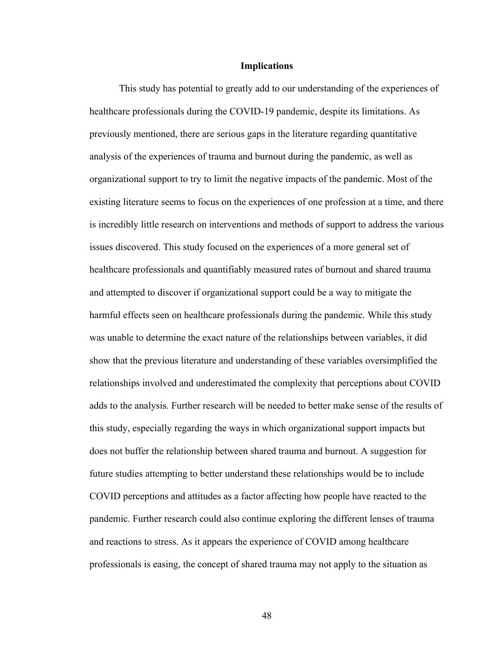#### **Implications**

This study has potential to greatly add to our understanding of the experiences of healthcare professionals during the COVID-19 pandemic, despite its limitations. As previously mentioned, there are serious gaps in the literature regarding quantitative analysis of the experiences of trauma and burnout during the pandemic, as well as organizational support to try to limit the negative impacts of the pandemic. Most of the existing literature seems to focus on the experiences of one profession at a time, and there is incredibly little research on interventions and methods of support to address the various issues discovered. This study focused on the experiences of a more general set of healthcare professionals and quantifiably measured rates of burnout and shared trauma and attempted to discover if organizational support could be a way to mitigate the harmful effects seen on healthcare professionals during the pandemic. While this study was unable to determine the exact nature of the relationships between variables, it did show that the previous literature and understanding of these variables oversimplified the relationships involved and underestimated the complexity that perceptions about COVID adds to the analysis. Further research will be needed to better make sense of the results of this study, especially regarding the ways in which organizational support impacts but does not buffer the relationship between shared trauma and burnout. A suggestion for future studies attempting to better understand these relationships would be to include COVID perceptions and attitudes as a factor affecting how people have reacted to the pandemic. Further research could also continue exploring the different lenses of trauma and reactions to stress. As it appears the experience of COVID among healthcare professionals is easing, the concept of shared trauma may not apply to the situation as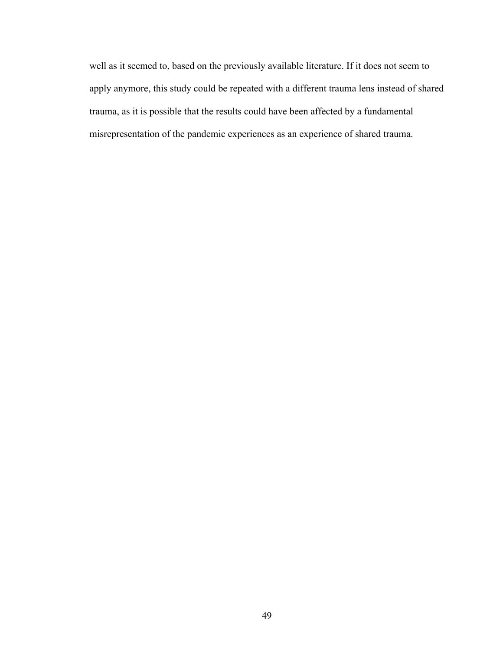well as it seemed to, based on the previously available literature. If it does not seem to apply anymore, this study could be repeated with a different trauma lens instead of shared trauma, as it is possible that the results could have been affected by a fundamental misrepresentation of the pandemic experiences as an experience of shared trauma.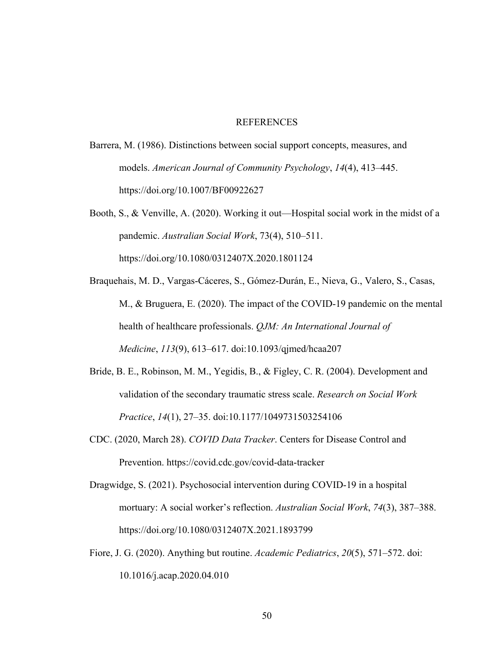## **REFERENCES**

- Barrera, M. (1986). Distinctions between social support concepts, measures, and models. *American Journal of Community Psychology*, *14*(4), 413–445. https://doi.org/10.1007/BF00922627
- Booth, S., & Venville, A. (2020). Working it out—Hospital social work in the midst of a pandemic. *Australian Social Work*, 73(4), 510–511. https://doi.org/10.1080/0312407X.2020.1801124
- Braquehais, M. D., Vargas-Cáceres, S., Gómez-Durán, E., Nieva, G., Valero, S., Casas, M., & Bruguera, E. (2020). The impact of the COVID-19 pandemic on the mental health of healthcare professionals. *QJM: An International Journal of Medicine*, *113*(9), 613–617. doi:10.1093/qjmed/hcaa207
- Bride, B. E., Robinson, M. M., Yegidis, B., & Figley, C. R. (2004). Development and validation of the secondary traumatic stress scale. *Research on Social Work Practice*, *14*(1), 27–35. doi:10.1177/1049731503254106
- CDC. (2020, March 28). *COVID Data Tracker*. Centers for Disease Control and Prevention. https://covid.cdc.gov/covid-data-tracker
- Dragwidge, S. (2021). Psychosocial intervention during COVID-19 in a hospital mortuary: A social worker's reflection. *Australian Social Work*, *74*(3), 387–388. https://doi.org/10.1080/0312407X.2021.1893799
- Fiore, J. G. (2020). Anything but routine. *Academic Pediatrics*, *20*(5), 571–572. doi: 10.1016/j.acap.2020.04.010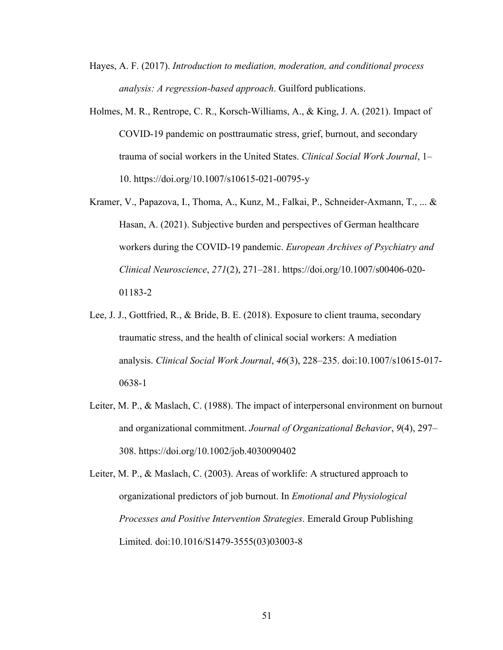- Hayes, A. F. (2017). *Introduction to mediation, moderation, and conditional process analysis: A regression-based approach*. Guilford publications.
- Holmes, M. R., Rentrope, C. R., Korsch-Williams, A., & King, J. A. (2021). Impact of COVID-19 pandemic on posttraumatic stress, grief, burnout, and secondary trauma of social workers in the United States. *Clinical Social Work Journal*, 1– 10. https://doi.org/10.1007/s10615-021-00795-y
- Kramer, V., Papazova, I., Thoma, A., Kunz, M., Falkai, P., Schneider-Axmann, T., ... & Hasan, A. (2021). Subjective burden and perspectives of German healthcare workers during the COVID-19 pandemic. *European Archives of Psychiatry and Clinical Neuroscience*, *271*(2), 271–281. https://doi.org/10.1007/s00406-020- 01183-2
- Lee, J. J., Gottfried, R., & Bride, B. E. (2018). Exposure to client trauma, secondary traumatic stress, and the health of clinical social workers: A mediation analysis. *Clinical Social Work Journal*, *46*(3), 228–235. doi:10.1007/s10615-017- 0638-1
- Leiter, M. P., & Maslach, C. (1988). The impact of interpersonal environment on burnout and organizational commitment. *Journal of Organizational Behavior*, *9*(4), 297– 308. https://doi.org/10.1002/job.4030090402

Leiter, M. P., & Maslach, C. (2003). Areas of worklife: A structured approach to organizational predictors of job burnout. In *Emotional and Physiological Processes and Positive Intervention Strategies*. Emerald Group Publishing Limited. doi:10.1016/S1479-3555(03)03003-8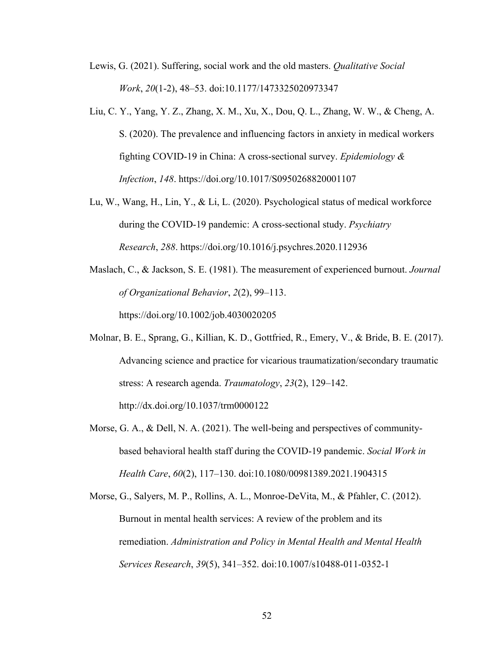- Lewis, G. (2021). Suffering, social work and the old masters. *Qualitative Social Work*, *20*(1-2), 48–53. doi:10.1177/1473325020973347
- Liu, C. Y., Yang, Y. Z., Zhang, X. M., Xu, X., Dou, Q. L., Zhang, W. W., & Cheng, A. S. (2020). The prevalence and influencing factors in anxiety in medical workers fighting COVID-19 in China: A cross-sectional survey. *Epidemiology & Infection*, *148*. https://doi.org/10.1017/S0950268820001107
- Lu, W., Wang, H., Lin, Y., & Li, L. (2020). Psychological status of medical workforce during the COVID-19 pandemic: A cross-sectional study. *Psychiatry Research*, *288*. https://doi.org/10.1016/j.psychres.2020.112936
- Maslach, C., & Jackson, S. E. (1981). The measurement of experienced burnout. *Journal of Organizational Behavior*, *2*(2), 99–113. https://doi.org/10.1002/job.4030020205
- Molnar, B. E., Sprang, G., Killian, K. D., Gottfried, R., Emery, V., & Bride, B. E. (2017). Advancing science and practice for vicarious traumatization/secondary traumatic stress: A research agenda. *Traumatology*, *23*(2), 129–142. http://dx.doi.org/10.1037/trm0000122
- Morse, G. A., & Dell, N. A. (2021). The well-being and perspectives of communitybased behavioral health staff during the COVID-19 pandemic. *Social Work in Health Care*, *60*(2), 117–130. doi:10.1080/00981389.2021.1904315
- Morse, G., Salyers, M. P., Rollins, A. L., Monroe-DeVita, M., & Pfahler, C. (2012). Burnout in mental health services: A review of the problem and its remediation. *Administration and Policy in Mental Health and Mental Health Services Research*, *39*(5), 341–352. doi:10.1007/s10488-011-0352-1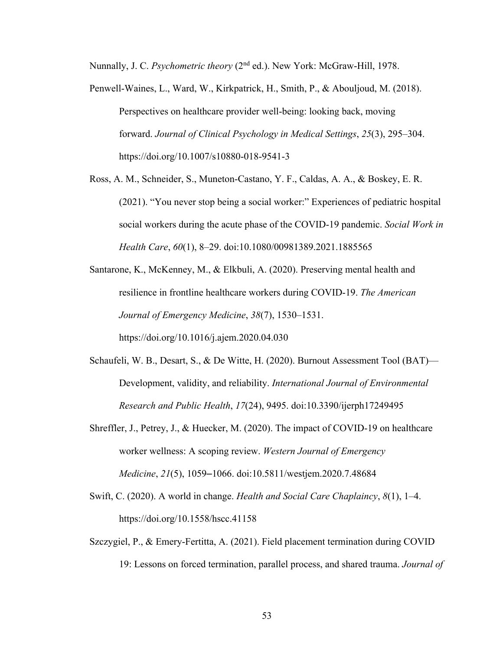Nunnally, J. C. *Psychometric theory* (2nd ed.). New York: McGraw-Hill, 1978.

- Penwell-Waines, L., Ward, W., Kirkpatrick, H., Smith, P., & Abouljoud, M. (2018). Perspectives on healthcare provider well-being: looking back, moving forward. *Journal of Clinical Psychology in Medical Settings*, *25*(3), 295–304. https://doi.org/10.1007/s10880-018-9541-3
- Ross, A. M., Schneider, S., Muneton-Castano, Y. F., Caldas, A. A., & Boskey, E. R. (2021). "You never stop being a social worker:" Experiences of pediatric hospital social workers during the acute phase of the COVID-19 pandemic. *Social Work in Health Care*, *60*(1), 8–29. doi:10.1080/00981389.2021.1885565
- Santarone, K., McKenney, M., & Elkbuli, A. (2020). Preserving mental health and resilience in frontline healthcare workers during COVID-19. *The American Journal of Emergency Medicine*, *38*(7), 1530–1531.

https://doi.org/10.1016/j.ajem.2020.04.030

- Schaufeli, W. B., Desart, S., & De Witte, H. (2020). Burnout Assessment Tool (BAT)— Development, validity, and reliability. *International Journal of Environmental Research and Public Health*, *17*(24), 9495. doi:10.3390/ijerph17249495
- Shreffler, J., Petrey, J., & Huecker, M. (2020). The impact of COVID-19 on healthcare worker wellness: A scoping review. *Western Journal of Emergency Medicine*, *21*(5), 1059–1066. doi:10.5811/westjem.2020.7.48684
- Swift, C. (2020). A world in change. *Health and Social Care Chaplaincy*, *8*(1), 1–4. https://doi.org/10.1558/hscc.41158
- Szczygiel, P., & Emery-Fertitta, A. (2021). Field placement termination during COVID 19: Lessons on forced termination, parallel process, and shared trauma. *Journal of*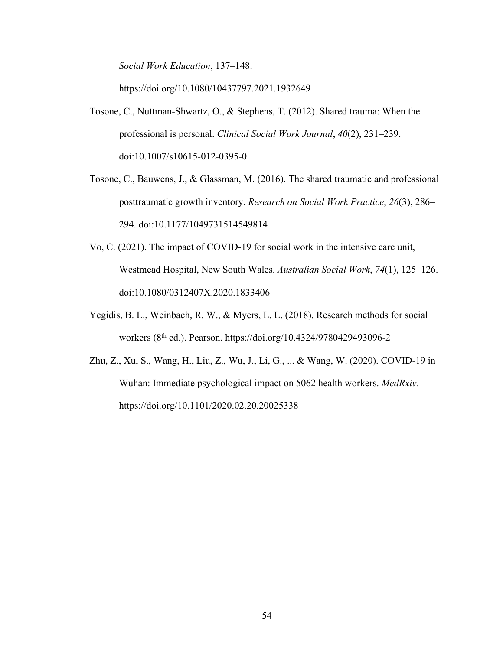*Social Work Education*, 137–148.

https://doi.org/10.1080/10437797.2021.1932649

- Tosone, C., Nuttman-Shwartz, O., & Stephens, T. (2012). Shared trauma: When the professional is personal. *Clinical Social Work Journal*, *40*(2), 231–239. doi:10.1007/s10615-012-0395-0
- Tosone, C., Bauwens, J., & Glassman, M. (2016). The shared traumatic and professional posttraumatic growth inventory. *Research on Social Work Practice*, *26*(3), 286– 294. doi:10.1177/1049731514549814
- Vo, C. (2021). The impact of COVID-19 for social work in the intensive care unit, Westmead Hospital, New South Wales. *Australian Social Work*, *74*(1), 125–126. doi:10.1080/0312407X.2020.1833406
- Yegidis, B. L., Weinbach, R. W., & Myers, L. L. (2018). Research methods for social workers (8th ed.). Pearson. https://doi.org/10.4324/9780429493096-2
- Zhu, Z., Xu, S., Wang, H., Liu, Z., Wu, J., Li, G., ... & Wang, W. (2020). COVID-19 in Wuhan: Immediate psychological impact on 5062 health workers. *MedRxiv*. https://doi.org/10.1101/2020.02.20.20025338